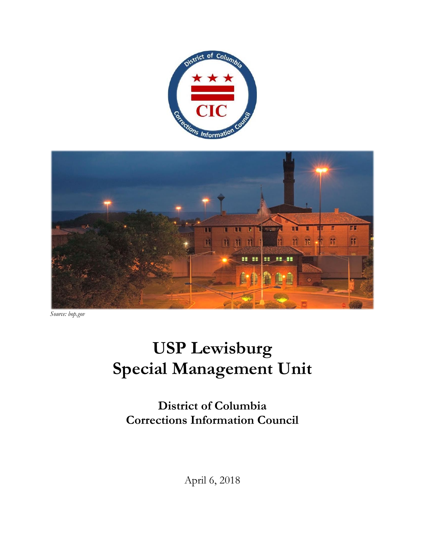



*Source: bop.gov* 

# **USP Lewisburg Special Management Unit**

**District of Columbia Corrections Information Council**

April 6, 2018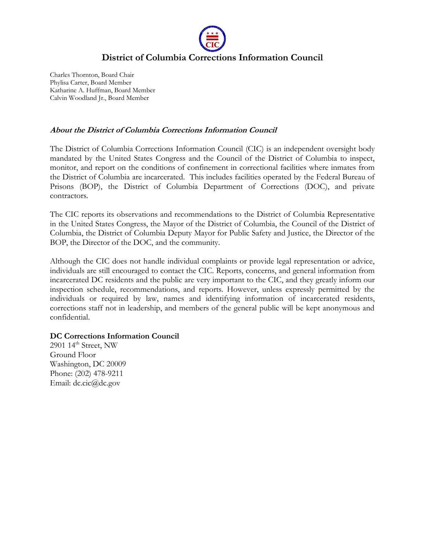

# **District of Columbia Corrections Information Council**

Charles Thornton, Board Chair Phylisa Carter, Board Member Katharine A. Huffman, Board Member Calvin Woodland Jr., Board Member

### **About the District of Columbia Corrections Information Council**

The District of Columbia Corrections Information Council (CIC) is an independent oversight body mandated by the United States Congress and the Council of the District of Columbia to inspect, monitor, and report on the conditions of confinement in correctional facilities where inmates from the District of Columbia are incarcerated. This includes facilities operated by the Federal Bureau of Prisons (BOP), the District of Columbia Department of Corrections (DOC), and private contractors.

The CIC reports its observations and recommendations to the District of Columbia Representative in the United States Congress, the Mayor of the District of Columbia, the Council of the District of Columbia, the District of Columbia Deputy Mayor for Public Safety and Justice, the Director of the BOP, the Director of the DOC, and the community.

Although the CIC does not handle individual complaints or provide legal representation or advice, individuals are still encouraged to contact the CIC. Reports, concerns, and general information from incarcerated DC residents and the public are very important to the CIC, and they greatly inform our inspection schedule, recommendations, and reports. However, unless expressly permitted by the individuals or required by law, names and identifying information of incarcerated residents, corrections staff not in leadership, and members of the general public will be kept anonymous and confidential.

#### **DC Corrections Information Council**

2901  $14<sup>th</sup>$  Street, NW Ground Floor Washington, DC 20009 Phone: (202) 478-9211 Email: dc.cic@dc.gov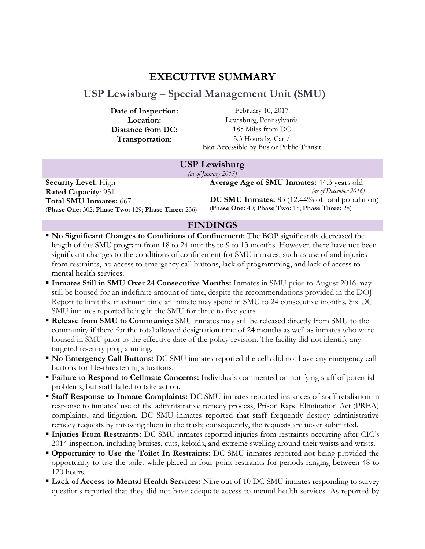# **EXECUTIVE SUMMARY**

# <span id="page-2-0"></span>**USP Lewisburg – Special Management Unit (SMU)**

**Date of Inspection:** February 10, 2017 **Location:** Lewisburg, Pennsylvania **Distance from DC:** 185 Miles from DC **Transportation:** 3.3 Hours by Car / Not Accessible by Bus or Public Transit

### **USP Lewisburg**

*(as of January 2017)*

**Security Level:** High **Rated Capacity**: 931 **Total SMU Inmates:** 667 (**Phase One:** 302; **Phase Two:** 129; **Phase Three:** 236) **Average Age of SMU Inmates:** 44.3 years old *(as of December 2016)* **DC SMU Inmates:** 83 (12.44% of total population) (**Phase One:** 40; **Phase Two:** 15; **Phase Three:** 28)

### **FINDINGS**

- **No Significant Changes to Conditions of Confinement:** The BOP significantly decreased the length of the SMU program from 18 to 24 months to 9 to 13 months. However, there have not been significant changes to the conditions of confinement for SMU inmates, such as use of and injuries from restraints, no access to emergency call buttons, lack of programming, and lack of access to mental health services.
- **Inmates Still in SMU Over 24 Consecutive Months:** Inmates in SMU prior to August 2016 may still be housed for an indefinite amount of time, despite the recommendations provided in the DOJ Report to limit the maximum time an inmate may spend in SMU to 24 consecutive months. Six DC SMU inmates reported being in the SMU for three to five years
- **Release from SMU to Community:** SMU inmates may still be released directly from SMU to the community if there for the total allowed designation time of 24 months as well as inmates who were housed in SMU prior to the effective date of the policy revision. The facility did not identify any targeted re-entry programming.
- **No Emergency Call Buttons:** DC SMU inmates reported the cells did not have any emergency call buttons for life-threatening situations.
- **Failure to Respond to Cellmate Concerns:** Individuals commented on notifying staff of potential problems, but staff failed to take action.
- **Staff Response to Inmate Complaints:** DC SMU inmates reported instances of staff retaliation in response to inmates' use of the administrative remedy process, Prison Rape Elimination Act (PREA) complaints, and litigation. DC SMU inmates reported that staff frequently destroy administrative remedy requests by throwing them in the trash; consequently, the requests are never submitted.
- **Injuries From Restraints:** DC SMU inmates reported injuries from restraints occurring after CIC's 2014 inspection, including bruises, cuts, keloids, and extreme swelling around their waists and wrists.
- **Opportunity to Use the Toilet In Restraints:** DC SMU inmates reported not being provided the opportunity to use the toilet while placed in four-point restraints for periods ranging between 48 to 120 hours.
- **Lack of Access to Mental Health Services:** Nine out of 10 DC SMU inmates responding to survey questions reported that they did not have adequate access to mental health services. As reported by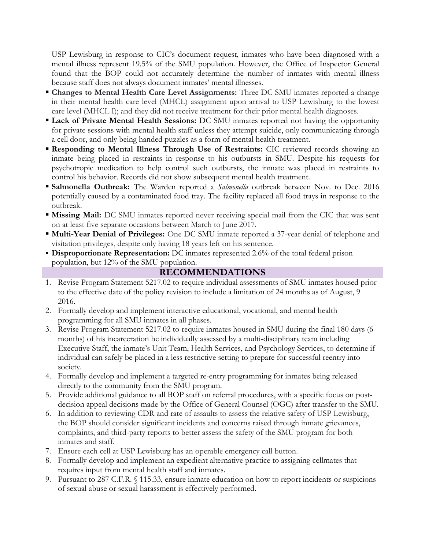USP Lewisburg in response to CIC's document request, inmates who have been diagnosed with a mental illness represent 19.5% of the SMU population. However, the Office of Inspector General found that the BOP could not accurately determine the number of inmates with mental illness because staff does not always document inmates' mental illnesses.

- **Changes to Mental Health Care Level Assignments:** Three DC SMU inmates reported a change in their mental health care level (MHCL) assignment upon arrival to USP Lewisburg to the lowest care level (MHCL I); and they did not receive treatment for their prior mental health diagnoses.
- **Lack of Private Mental Health Sessions:** DC SMU inmates reported not having the opportunity for private sessions with mental health staff unless they attempt suicide, only communicating through a cell door, and only being handed puzzles as a form of mental health treatment.
- **Responding to Mental Illness Through Use of Restraints:** CIC reviewed records showing an inmate being placed in restraints in response to his outbursts in SMU. Despite his requests for psychotropic medication to help control such outbursts, the inmate was placed in restraints to control his behavior. Records did not show subsequent mental health treatment.
- **Salmonella Outbreak:** The Warden reported a *Salmonella* outbreak between Nov. to Dec. 2016 potentially caused by a contaminated food tray. The facility replaced all food trays in response to the outbreak.
- **Missing Mail:** DC SMU inmates reported never receiving special mail from the CIC that was sent on at least five separate occasions between March to June 2017.
- **Multi-Year Denial of Privileges:** One DC SMU inmate reported a 37-year denial of telephone and visitation privileges, despite only having 18 years left on his sentence.
- **Disproportionate Representation:** DC inmates represented 2.6% of the total federal prison population, but 12% of the SMU population.

### **RECOMMENDATIONS**

- 1. Revise Program Statement 5217.02 to require individual assessments of SMU inmates housed prior to the effective date of the policy revision to include a limitation of 24 months as of August, 9 2016.
- 2. Formally develop and implement interactive educational, vocational, and mental health programming for all SMU inmates in all phases.
- 3. Revise Program Statement 5217.02 to require inmates housed in SMU during the final 180 days (6 months) of his incarceration be individually assessed by a multi-disciplinary team including Executive Staff, the inmate's Unit Team, Health Services, and Psychology Services, to determine if individual can safely be placed in a less restrictive setting to prepare for successful reentry into society.
- 4. Formally develop and implement a targeted re-entry programming for inmates being released directly to the community from the SMU program.
- 5. Provide additional guidance to all BOP staff on referral procedures, with a specific focus on postdecision appeal decisions made by the Office of General Counsel (OGC) after transfer to the SMU.
- 6. In addition to reviewing CDR and rate of assaults to assess the relative safety of USP Lewisburg, the BOP should consider significant incidents and concerns raised through inmate grievances, complaints, and third-party reports to better assess the safety of the SMU program for both inmates and staff.
- 7. Ensure each cell at USP Lewisburg has an operable emergency call button.
- 8. Formally develop and implement an expedient alternative practice to assigning cellmates that requires input from mental health staff and inmates.
- 9. Pursuant to 287 C.F.R. § 115.33, ensure inmate education on how to report incidents or suspicions of sexual abuse or sexual harassment is effectively performed.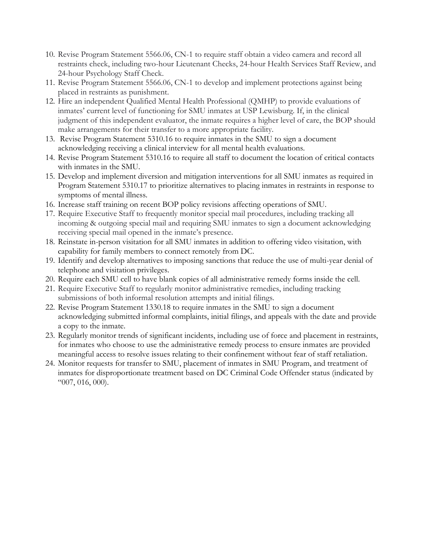- 10. Revise Program Statement 5566.06, CN-1 to require staff obtain a video camera and record all restraints check, including two-hour Lieutenant Checks, 24-hour Health Services Staff Review, and 24-hour Psychology Staff Check.
- 11. Revise Program Statement 5566.06, CN-1 to develop and implement protections against being placed in restraints as punishment.
- 12. Hire an independent Qualified Mental Health Professional (QMHP) to provide evaluations of inmates' current level of functioning for SMU inmates at USP Lewisburg. If, in the clinical judgment of this independent evaluator, the inmate requires a higher level of care, the BOP should make arrangements for their transfer to a more appropriate facility.
- 13. Revise Program Statement 5310.16 to require inmates in the SMU to sign a document acknowledging receiving a clinical interview for all mental health evaluations.
- 14. Revise Program Statement 5310.16 to require all staff to document the location of critical contacts with inmates in the SMU.
- 15. Develop and implement diversion and mitigation interventions for all SMU inmates as required in Program Statement 5310.17 to prioritize alternatives to placing inmates in restraints in response to symptoms of mental illness.
- 16. Increase staff training on recent BOP policy revisions affecting operations of SMU.
- 17. Require Executive Staff to frequently monitor special mail procedures, including tracking all incoming & outgoing special mail and requiring SMU inmates to sign a document acknowledging receiving special mail opened in the inmate's presence.
- 18. Reinstate in-person visitation for all SMU inmates in addition to offering video visitation, with capability for family members to connect remotely from DC.
- 19. Identify and develop alternatives to imposing sanctions that reduce the use of multi-year denial of telephone and visitation privileges.
- 20. Require each SMU cell to have blank copies of all administrative remedy forms inside the cell.
- 21. Require Executive Staff to regularly monitor administrative remedies, including tracking submissions of both informal resolution attempts and initial filings.
- 22. Revise Program Statement 1330.18 to require inmates in the SMU to sign a document acknowledging submitted informal complaints, initial filings, and appeals with the date and provide a copy to the inmate.
- 23. Regularly monitor trends of significant incidents, including use of force and placement in restraints, for inmates who choose to use the administrative remedy process to ensure inmates are provided meaningful access to resolve issues relating to their confinement without fear of staff retaliation.
- 24. Monitor requests for transfer to SMU, placement of inmates in SMU Program, and treatment of inmates for disproportionate treatment based on DC Criminal Code Offender status (indicated by "007, 016, 000).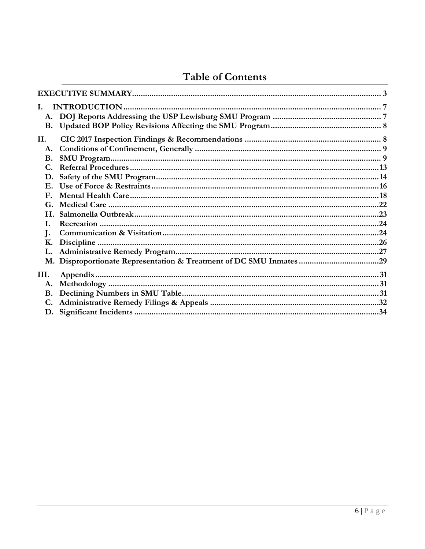# **Table of Contents**

| I.          |  |
|-------------|--|
| A.          |  |
| <b>B.</b>   |  |
| Н.          |  |
| A.          |  |
| <b>B.</b>   |  |
| C.          |  |
| D.          |  |
|             |  |
| ${\bf F}$ . |  |
| G.          |  |
|             |  |
| I.          |  |
| J.          |  |
| Κ.          |  |
|             |  |
|             |  |
| III.        |  |
| A.          |  |
| <b>B.</b>   |  |
| C.          |  |
|             |  |
|             |  |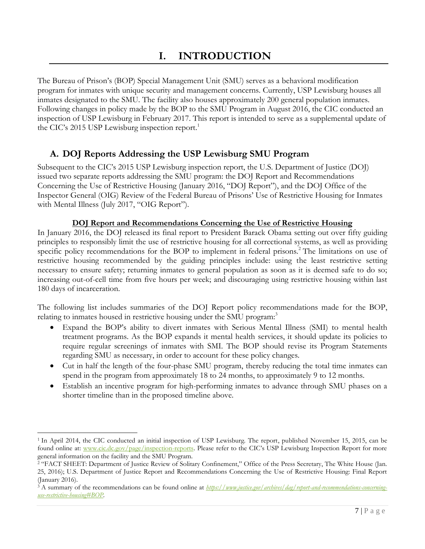<span id="page-6-0"></span>The Bureau of Prison's (BOP) Special Management Unit (SMU) serves as a behavioral modification program for inmates with unique security and management concerns. Currently, USP Lewisburg houses all inmates designated to the SMU. The facility also houses approximately 200 general population inmates. Following changes in policy made by the BOP to the SMU Program in August 2016, the CIC conducted an inspection of USP Lewisburg in February 2017. This report is intended to serve as a supplemental update of the CIC's 2015 USP Lewisburg inspection report.<sup>1</sup>

# <span id="page-6-1"></span>**A. DOJ Reports Addressing the USP Lewisburg SMU Program**

Subsequent to the CIC's 2015 USP Lewisburg inspection report, the U.S. Department of Justice (DOJ) issued two separate reports addressing the SMU program: the DOJ Report and Recommendations Concerning the Use of Restrictive Housing (January 2016, "DOJ Report"), and the DOJ Office of the Inspector General (OIG) Review of the Federal Bureau of Prisons' Use of Restrictive Housing for Inmates with Mental Illness (July 2017, "OIG Report").

### **DOJ Report and Recommendations Concerning the Use of Restrictive Housing**

In January 2016, the DOJ released its final report to President Barack Obama setting out over fifty guiding principles to responsibly limit the use of restrictive housing for all correctional systems, as well as providing specific policy recommendations for the BOP to implement in federal prisons.<sup>2</sup> The limitations on use of restrictive housing recommended by the guiding principles include: using the least restrictive setting necessary to ensure safety; returning inmates to general population as soon as it is deemed safe to do so; increasing out-of-cell time from five hours per week; and discouraging using restrictive housing within last 180 days of incarceration.

The following list includes summaries of the DOJ Report policy recommendations made for the BOP, relating to inmates housed in restrictive housing under the SMU program:<sup>3</sup>

- Expand the BOP's ability to divert inmates with Serious Mental Illness (SMI) to mental health treatment programs. As the BOP expands it mental health services, it should update its policies to require regular screenings of inmates with SMI. The BOP should revise its Program Statements regarding SMU as necessary, in order to account for these policy changes.
- Cut in half the length of the four-phase SMU program, thereby reducing the total time inmates can spend in the program from approximately 18 to 24 months, to approximately 9 to 12 months.
- Establish an incentive program for high-performing inmates to advance through SMU phases on a shorter timeline than in the proposed timeline above.

<sup>1</sup> In April 2014, the CIC conducted an initial inspection of USP Lewisburg. The report, published November 15, 2015, can be found online at: [www.cic.dc.gov/page/inspection-reports](http://www.cic.dc.gov/page/inspection-reports). Please refer to the CIC's USP Lewisburg Inspection Report for more general information on the facility and the SMU Program.

<sup>&</sup>lt;sup>2</sup> "FACT SHEET: Department of Justice Review of Solitary Confinement," Office of the Press Secretary, The White House (Jan. 25, 2016); U.S. Department of Justice Report and Recommendations Concerning the Use of Restrictive Housing: Final Report (January 2016).

<sup>3</sup> A summary of the recommendations can be found online at *[https://www.justice.gov/archives/dag/report-and-recommendations-concerning](https://www.justice.gov/archives/dag/report-and-recommendations-concerning-use-restrictive-housing#BOP)[use-restrictive-housing#BOP.](https://www.justice.gov/archives/dag/report-and-recommendations-concerning-use-restrictive-housing#BOP)*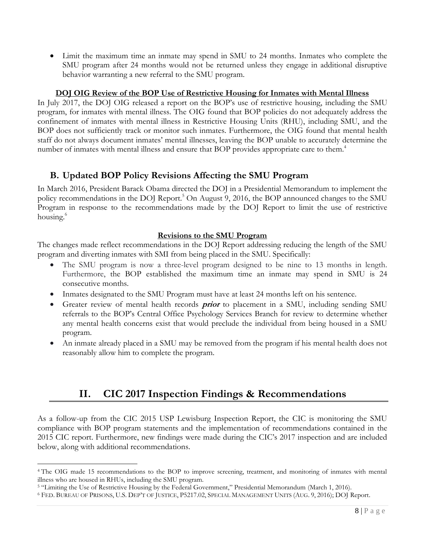Limit the maximum time an inmate may spend in SMU to 24 months. Inmates who complete the SMU program after 24 months would not be returned unless they engage in additional disruptive behavior warranting a new referral to the SMU program.

### **DOJ OIG Review of the BOP Use of Restrictive Housing for Inmates with Mental Illness**

In July 2017, the DOJ OIG released a report on the BOP's use of restrictive housing, including the SMU program, for inmates with mental illness. The OIG found that BOP policies do not adequately address the confinement of inmates with mental illness in Restrictive Housing Units (RHU), including SMU, and the BOP does not sufficiently track or monitor such inmates. Furthermore, the OIG found that mental health staff do not always document inmates' mental illnesses, leaving the BOP unable to accurately determine the number of inmates with mental illness and ensure that BOP provides appropriate care to them.<sup>4</sup>

# <span id="page-7-0"></span>**B. Updated BOP Policy Revisions Affecting the SMU Program**

In March 2016, President Barack Obama directed the DOJ in a Presidential Memorandum to implement the policy recommendations in the DOJ Report.<sup>5</sup> On August 9, 2016, the BOP announced changes to the SMU Program in response to the recommendations made by the DOJ Report to limit the use of restrictive housing.<sup>6</sup>

### **Revisions to the SMU Program**

The changes made reflect recommendations in the DOJ Report addressing reducing the length of the SMU program and diverting inmates with SMI from being placed in the SMU. Specifically:

- The SMU program is now a three-level program designed to be nine to 13 months in length. Furthermore, the BOP established the maximum time an inmate may spend in SMU is 24 consecutive months.
- Inmates designated to the SMU Program must have at least 24 months left on his sentence.
- Greater review of mental health records **prior** to placement in a SMU, including sending SMU referrals to the BOP's Central Office Psychology Services Branch for review to determine whether any mental health concerns exist that would preclude the individual from being housed in a SMU program.
- <span id="page-7-1"></span> An inmate already placed in a SMU may be removed from the program if his mental health does not reasonably allow him to complete the program.

# **II. CIC 2017 Inspection Findings & Recommendations**

As a follow-up from the CIC 2015 USP Lewisburg Inspection Report, the CIC is monitoring the SMU compliance with BOP program statements and the implementation of recommendations contained in the 2015 CIC report. Furthermore, new findings were made during the CIC's 2017 inspection and are included below, along with additional recommendations.

<sup>4</sup> The OIG made 15 recommendations to the BOP to improve screening, treatment, and monitoring of inmates with mental illness who are housed in RHUs, including the SMU program.

<sup>5</sup> "Limiting the Use of Restrictive Housing by the Federal Government," Presidential Memorandum (March 1, 2016).

<sup>6</sup> FED. BUREAU OF PRISONS, U.S. DEP'T OF JUSTICE, P5217.02, SPECIAL MANAGEMENT UNITS (AUG. 9, 2016); DOJ Report.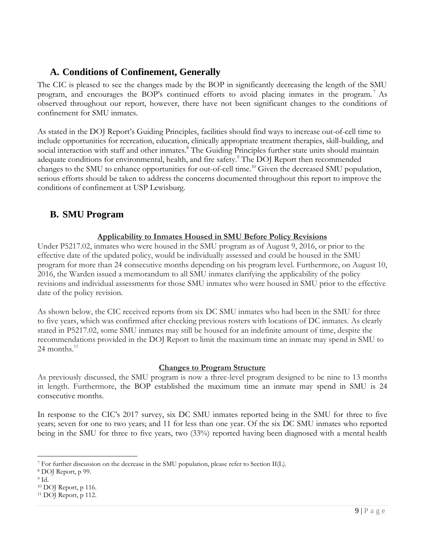# <span id="page-8-0"></span>**A. Conditions of Confinement, Generally**

The CIC is pleased to see the changes made by the BOP in significantly decreasing the length of the SMU program, and encourages the BOP's continued efforts to avoid placing inmates in the program. <sup>7</sup> As observed throughout our report, however, there have not been significant changes to the conditions of confinement for SMU inmates.

As stated in the DOJ Report's Guiding Principles, facilities should find ways to increase out-of-cell time to include opportunities for recreation, education, clinically appropriate treatment therapies, skill-building, and social interaction with staff and other inmates.<sup>8</sup> The Guiding Principles further state units should maintain adequate conditions for environmental, health, and fire safety.<sup>9</sup> The DOJ Report then recommended changes to the SMU to enhance opportunities for out-of-cell time.<sup>10</sup> Given the decreased SMU population, serious efforts should be taken to address the concerns documented throughout this report to improve the conditions of confinement at USP Lewisburg.

# <span id="page-8-1"></span>**B. SMU Program**

### **Applicability to Inmates Housed in SMU Before Policy Revisions**

Under P5217.02, inmates who were housed in the SMU program as of August 9, 2016, or prior to the effective date of the updated policy, would be individually assessed and could be housed in the SMU program for more than 24 consecutive months depending on his program level. Furthermore, on August 10, 2016, the Warden issued a memorandum to all SMU inmates clarifying the applicability of the policy revisions and individual assessments for those SMU inmates who were housed in SMU prior to the effective date of the policy revision.

As shown below, the CIC received reports from six DC SMU inmates who had been in the SMU for three to five years, which was confirmed after checking previous rosters with locations of DC inmates. As clearly stated in P5217.02, some SMU inmates may still be housed for an indefinite amount of time, despite the recommendations provided in the DOJ Report to limit the maximum time an inmate may spend in SMU to 24 months. $^{11}$ 

### **Changes to Program Structure**

As previously discussed, the SMU program is now a three-level program designed to be nine to 13 months in length. Furthermore, the BOP established the maximum time an inmate may spend in SMU is 24 consecutive months.

In response to the CIC's 2017 survey, six DC SMU inmates reported being in the SMU for three to five years; seven for one to two years; and 11 for less than one year. Of the six DC SMU inmates who reported being in the SMU for three to five years, two (33%) reported having been diagnosed with a mental health

 $\overline{a}$ <sup>7</sup> For further discussion on the decrease in the SMU population, please refer to Section II(L).

<sup>8</sup> DOJ Report, p 99.

<sup>9</sup> Id.

<sup>10</sup> DOJ Report, p 116.

 $11$  DOJ Report, p 112.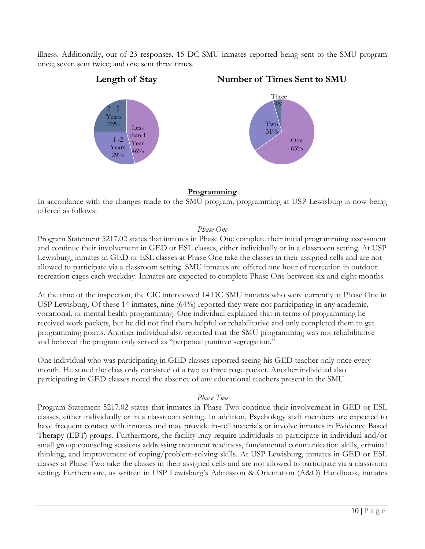illness. Additionally, out of 23 responses, 15 DC SMU inmates reported being sent to the SMU program once; seven sent twice; and one sent three times.



### **Programming**

In accordance with the changes made to the SMU program, programming at USP Lewisburg is now being offered as follows:

### *Phase One*

Program Statement 5217.02 states that inmates in Phase One complete their initial programming assessment and continue their involvement in GED or ESL classes, either individually or in a classroom setting. At USP Lewisburg, inmates in GED or ESL classes at Phase One take the classes in their assigned cells and are not allowed to participate via a classroom setting. SMU inmates are offered one hour of recreation in outdoor recreation cages each weekday. Inmates are expected to complete Phase One between six and eight months.

At the time of the inspection, the CIC interviewed 14 DC SMU inmates who were currently at Phase One in USP Lewisburg. Of these 14 inmates, nine (64%) reported they were not participating in any academic, vocational, or mental health programming. One individual explained that in terms of programming he received work packets, but he did not find them helpful or rehabilitative and only completed them to get programming points. Another individual also reported that the SMU programming was not rehabilitative and believed the program only served as "perpetual punitive segregation."

One individual who was participating in GED classes reported seeing his GED teacher only once every month. He stated the class only consisted of a two to three page packet. Another individual also participating in GED classes noted the absence of any educational teachers present in the SMU.

### *Phase Two*

Program Statement 5217.02 states that inmates in Phase Two continue their involvement in GED or ESL classes, either individually or in a classroom setting. In addition, Psychology staff members are expected to have frequent contact with inmates and may provide in-cell materials or involve inmates in Evidence Based Therapy (EBT) groups. Furthermore, the facility may require individuals to participate in individual and/or small group counseling sessions addressing treatment readiness, fundamental communication skills, criminal thinking, and improvement of coping/problem-solving skills. At USP Lewisburg, inmates in GED or ESL classes at Phase Two take the classes in their assigned cells and are not allowed to participate via a classroom setting. Furthermore, as written in USP Lewisburg's Admission & Orientation (A&O) Handbook, inmates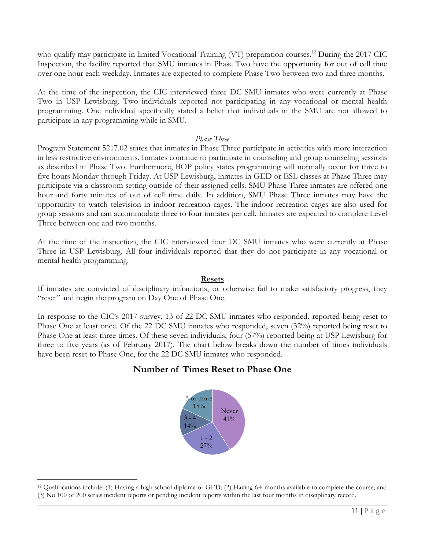who qualify may participate in limited Vocational Training (VT) preparation courses.<sup>12</sup> During the 2017 CIC Inspection, the facility reported that SMU inmates in Phase Two have the opportunity for out of cell time over one hour each weekday. Inmates are expected to complete Phase Two between two and three months.

At the time of the inspection, the CIC interviewed three DC SMU inmates who were currently at Phase Two in USP Lewisburg. Two individuals reported not participating in any vocational or mental health programming. One individual specifically stated a belief that individuals in the SMU are not allowed to participate in any programming while in SMU.

### *Phase Three*

Program Statement 5217.02 states that inmates in Phase Three participate in activities with more interaction in less restrictive environments. Inmates continue to participate in counseling and group counseling sessions as described in Phase Two. Furthermore, BOP policy states programming will normally occur for three to five hours Monday through Friday. At USP Lewisburg, inmates in GED or ESL classes at Phase Three may participate via a classroom setting outside of their assigned cells. SMU Phase Three inmates are offered one hour and forty minutes of out of cell time daily. In addition, SMU Phase Three inmates may have the opportunity to watch television in indoor recreation cages. The indoor recreation cages are also used for group sessions and can accommodate three to four inmates per cell. Inmates are expected to complete Level Three between one and two months.

At the time of the inspection, the CIC interviewed four DC SMU inmates who were currently at Phase Three in USP Lewisburg. All four individuals reported that they do not participate in any vocational or mental health programming.

### **Resets**

If inmates are convicted of disciplinary infractions, or otherwise fail to make satisfactory progress, they "reset" and begin the program on Day One of Phase One.

In response to the CIC's 2017 survey, 13 of 22 DC SMU inmates who responded, reported being reset to Phase One at least once. Of the 22 DC SMU inmates who responded, seven (32%) reported being reset to Phase One at least three times. Of these seven individuals, four (57%) reported being at USP Lewisburg for three to five years (as of February 2017). The chart below breaks down the number of times individuals have been reset to Phase One, for the 22 DC SMU inmates who responded.

# **Number of Times Reset to Phase One**



<sup>12</sup> Qualifications include: (1) Having a high school diploma or GED; (2) Having 6+ months available to complete the course; and (3) No 100 or 200 series incident reports or pending incident reports within the last four months in disciplinary record.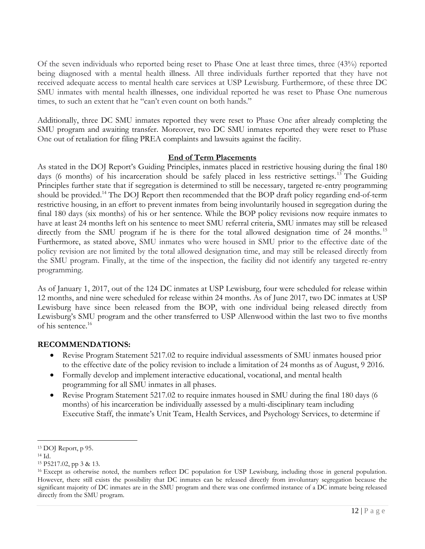Of the seven individuals who reported being reset to Phase One at least three times, three (43%) reported being diagnosed with a mental health illness. All three individuals further reported that they have not received adequate access to mental health care services at USP Lewisburg. Furthermore, of these three DC SMU inmates with mental health illnesses, one individual reported he was reset to Phase One numerous times, to such an extent that he "can't even count on both hands."

Additionally, three DC SMU inmates reported they were reset to Phase One after already completing the SMU program and awaiting transfer. Moreover, two DC SMU inmates reported they were reset to Phase One out of retaliation for filing PREA complaints and lawsuits against the facility.

### **End of Term Placements**

As stated in the DOJ Report's Guiding Principles, inmates placed in restrictive housing during the final 180 days (6 months) of his incarceration should be safely placed in less restrictive settings.<sup>13</sup> The Guiding Principles further state that if segregation is determined to still be necessary, targeted re-entry programming should be provided.<sup>14</sup> The DOJ Report then recommended that the BOP draft policy regarding end-of-term restrictive housing, in an effort to prevent inmates from being involuntarily housed in segregation during the final 180 days (six months) of his or her sentence. While the BOP policy revisions now require inmates to have at least 24 months left on his sentence to meet SMU referral criteria, SMU inmates may still be released directly from the SMU program if he is there for the total allowed designation time of 24 months.<sup>15</sup> Furthermore, as stated above, SMU inmates who were housed in SMU prior to the effective date of the policy revision are not limited by the total allowed designation time, and may still be released directly from the SMU program. Finally, at the time of the inspection, the facility did not identify any targeted re-entry programming.

As of January 1, 2017, out of the 124 DC inmates at USP Lewisburg, four were scheduled for release within 12 months, and nine were scheduled for release within 24 months. As of June 2017, two DC inmates at USP Lewisburg have since been released from the BOP, with one individual being released directly from Lewisburg's SMU program and the other transferred to USP Allenwood within the last two to five months of his sentence.<sup>16</sup>

### **RECOMMENDATIONS:**

- Revise Program Statement 5217.02 to require individual assessments of SMU inmates housed prior to the effective date of the policy revision to include a limitation of 24 months as of August, 9 2016.
- Formally develop and implement interactive educational, vocational, and mental health programming for all SMU inmates in all phases.
- Revise Program Statement 5217.02 to require inmates housed in SMU during the final 180 days (6 months) of his incarceration be individually assessed by a multi-disciplinary team including Executive Staff, the inmate's Unit Team, Health Services, and Psychology Services, to determine if

<sup>13</sup> DOJ Report, p 95.

<sup>14</sup> Id.

<sup>15</sup> P5217.02, pp 3 & 13.

<sup>&</sup>lt;sup>16</sup> Except as otherwise noted, the numbers reflect DC population for USP Lewisburg, including those in general population. However, there still exists the possibility that DC inmates can be released directly from involuntary segregation because the significant majority of DC inmates are in the SMU program and there was one confirmed instance of a DC inmate being released directly from the SMU program.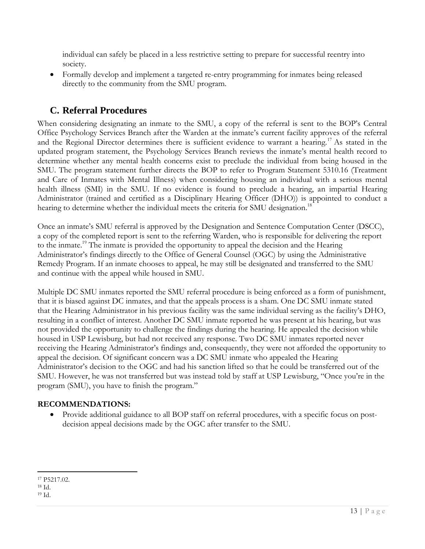individual can safely be placed in a less restrictive setting to prepare for successful reentry into society.

 Formally develop and implement a targeted re-entry programming for inmates being released directly to the community from the SMU program.

# <span id="page-12-0"></span>**C. Referral Procedures**

When considering designating an inmate to the SMU, a copy of the referral is sent to the BOP's Central Office Psychology Services Branch after the Warden at the inmate's current facility approves of the referral and the Regional Director determines there is sufficient evidence to warrant a hearing.<sup>17</sup> As stated in the updated program statement, the Psychology Services Branch reviews the inmate's mental health record to determine whether any mental health concerns exist to preclude the individual from being housed in the SMU. The program statement further directs the BOP to refer to Program Statement 5310.16 (Treatment and Care of Inmates with Mental Illness) when considering housing an individual with a serious mental health illness (SMI) in the SMU. If no evidence is found to preclude a hearing, an impartial Hearing Administrator (trained and certified as a Disciplinary Hearing Officer (DHO)) is appointed to conduct a hearing to determine whether the individual meets the criteria for SMU designation.<sup>18</sup>

Once an inmate's SMU referral is approved by the Designation and Sentence Computation Center (DSCC), a copy of the completed report is sent to the referring Warden, who is responsible for delivering the report to the inmate.<sup>19</sup> The inmate is provided the opportunity to appeal the decision and the Hearing Administrator's findings directly to the Office of General Counsel (OGC) by using the Administrative Remedy Program. If an inmate chooses to appeal, he may still be designated and transferred to the SMU and continue with the appeal while housed in SMU.

Multiple DC SMU inmates reported the SMU referral procedure is being enforced as a form of punishment, that it is biased against DC inmates, and that the appeals process is a sham. One DC SMU inmate stated that the Hearing Administrator in his previous facility was the same individual serving as the facility's DHO, resulting in a conflict of interest. Another DC SMU inmate reported he was present at his hearing, but was not provided the opportunity to challenge the findings during the hearing. He appealed the decision while housed in USP Lewisburg, but had not received any response. Two DC SMU inmates reported never receiving the Hearing Administrator's findings and, consequently, they were not afforded the opportunity to appeal the decision. Of significant concern was a DC SMU inmate who appealed the Hearing Administrator's decision to the OGC and had his sanction lifted so that he could be transferred out of the SMU. However, he was not transferred but was instead told by staff at USP Lewisburg, "Once you're in the program (SMU), you have to finish the program."

### **RECOMMENDATIONS:**

 Provide additional guidance to all BOP staff on referral procedures, with a specific focus on postdecision appeal decisions made by the OGC after transfer to the SMU.

<sup>17</sup> P5217.02.

<sup>18</sup> Id.

<sup>19</sup> Id.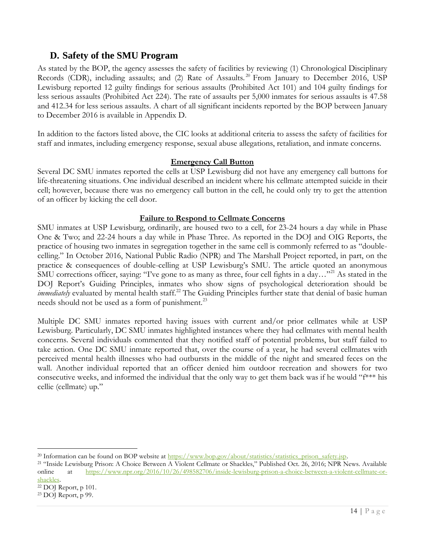# <span id="page-13-0"></span>**D. Safety of the SMU Program**

As stated by the BOP, the agency assesses the safety of facilities by reviewing (1) Chronological Disciplinary Records (CDR), including assaults; and (2) Rate of Assaults.<sup>20</sup> From January to December 2016, USP Lewisburg reported 12 guilty findings for serious assaults (Prohibited Act 101) and 104 guilty findings for less serious assaults (Prohibited Act 224). The rate of assaults per 5,000 inmates for serious assaults is 47.58 and 412.34 for less serious assaults. A chart of all significant incidents reported by the BOP between January to December 2016 is available in Appendix D.

In addition to the factors listed above, the CIC looks at additional criteria to assess the safety of facilities for staff and inmates, including emergency response, sexual abuse allegations, retaliation, and inmate concerns.

### **Emergency Call Button**

Several DC SMU inmates reported the cells at USP Lewisburg did not have any emergency call buttons for life-threatening situations. One individual described an incident where his cellmate attempted suicide in their cell; however, because there was no emergency call button in the cell, he could only try to get the attention of an officer by kicking the cell door.

### **Failure to Respond to Cellmate Concerns**

SMU inmates at USP Lewisburg, ordinarily, are housed two to a cell, for 23-24 hours a day while in Phase One & Two; and 22-24 hours a day while in Phase Three. As reported in the DOJ and OIG Reports, the practice of housing two inmates in segregation together in the same cell is commonly referred to as "doublecelling." In October 2016, National Public Radio (NPR) and The Marshall Project reported, in part, on the practice & consequences of double-celling at USP Lewisburg's SMU. The article quoted an anonymous SMU corrections officer, saying: "I've gone to as many as three, four cell fights in a day..."<sup>21</sup> As stated in the DOJ Report's Guiding Principles, inmates who show signs of psychological deterioration should be *immediately* evaluated by mental health staff.<sup>22</sup> The Guiding Principles further state that denial of basic human needs should not be used as a form of punishment.<sup>23</sup>

Multiple DC SMU inmates reported having issues with current and/or prior cellmates while at USP Lewisburg. Particularly, DC SMU inmates highlighted instances where they had cellmates with mental health concerns. Several individuals commented that they notified staff of potential problems, but staff failed to take action. One DC SMU inmate reported that, over the course of a year, he had several cellmates with perceived mental health illnesses who had outbursts in the middle of the night and smeared feces on the wall. Another individual reported that an officer denied him outdoor recreation and showers for two consecutive weeks, and informed the individual that the only way to get them back was if he would "f\*\*\* his cellie (cellmate) up."

<sup>&</sup>lt;sup>20</sup> Information can be found on BOP website at  $\frac{https://www.bop.gov/about/statistics/statistics.prison-safety.jsp.}$ 

<sup>21</sup> "Inside Lewisburg Prison: A Choice Between A Violent Cellmate or Shackles," Published Oct. 26, 2016; NPR News. Available online at [https://www.npr.org/2016/10/26/498582706/inside-lewisburg-prison-a-choice-between-a-violent-cellmate-or](https://www.npr.org/2016/10/26/498582706/inside-lewisburg-prison-a-choice-between-a-violent-cellmate-or-shackles)[shackles.](https://www.npr.org/2016/10/26/498582706/inside-lewisburg-prison-a-choice-between-a-violent-cellmate-or-shackles)

<sup>22</sup> DOJ Report, p 101.

<sup>23</sup> DOJ Report, p 99.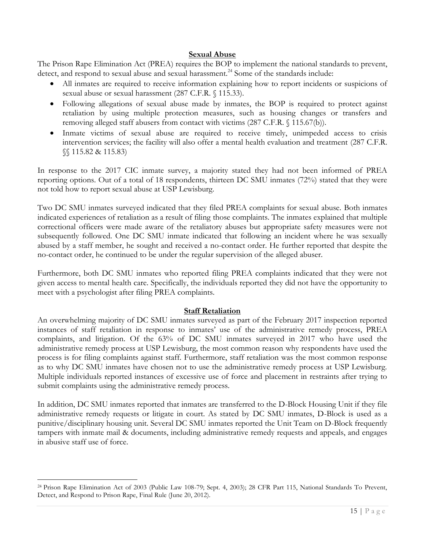### **Sexual Abuse**

The Prison Rape Elimination Act (PREA) requires the BOP to implement the national standards to prevent, detect, and respond to sexual abuse and sexual harassment.<sup>24</sup> Some of the standards include:

- All inmates are required to receive information explaining how to report incidents or suspicions of sexual abuse or sexual harassment (287 C.F.R. § 115.33).
- Following allegations of sexual abuse made by inmates, the BOP is required to protect against retaliation by using multiple protection measures, such as housing changes or transfers and removing alleged staff abusers from contact with victims (287 C.F.R. § 115.67(b)).
- Inmate victims of sexual abuse are required to receive timely, unimpeded access to crisis intervention services; the facility will also offer a mental health evaluation and treatment (287 C.F.R. §§ 115.82 & 115.83)

In response to the 2017 CIC inmate survey, a majority stated they had not been informed of PREA reporting options. Out of a total of 18 respondents, thirteen DC SMU inmates (72%) stated that they were not told how to report sexual abuse at USP Lewisburg.

Two DC SMU inmates surveyed indicated that they filed PREA complaints for sexual abuse. Both inmates indicated experiences of retaliation as a result of filing those complaints. The inmates explained that multiple correctional officers were made aware of the retaliatory abuses but appropriate safety measures were not subsequently followed. One DC SMU inmate indicated that following an incident where he was sexually abused by a staff member, he sought and received a no-contact order. He further reported that despite the no-contact order, he continued to be under the regular supervision of the alleged abuser.

Furthermore, both DC SMU inmates who reported filing PREA complaints indicated that they were not given access to mental health care. Specifically, the individuals reported they did not have the opportunity to meet with a psychologist after filing PREA complaints.

### **Staff Retaliation**

An overwhelming majority of DC SMU inmates surveyed as part of the February 2017 inspection reported instances of staff retaliation in response to inmates' use of the administrative remedy process, PREA complaints, and litigation. Of the 63% of DC SMU inmates surveyed in 2017 who have used the administrative remedy process at USP Lewisburg, the most common reason why respondents have used the process is for filing complaints against staff. Furthermore, staff retaliation was the most common response as to why DC SMU inmates have chosen not to use the administrative remedy process at USP Lewisburg. Multiple individuals reported instances of excessive use of force and placement in restraints after trying to submit complaints using the administrative remedy process.

In addition, DC SMU inmates reported that inmates are transferred to the D-Block Housing Unit if they file administrative remedy requests or litigate in court. As stated by DC SMU inmates, D-Block is used as a punitive/disciplinary housing unit. Several DC SMU inmates reported the Unit Team on D-Block frequently tampers with inmate mail & documents, including administrative remedy requests and appeals, and engages in abusive staff use of force.

<sup>24</sup> Prison Rape Elimination Act of 2003 (Public Law 108-79; Sept. 4, 2003); 28 CFR Part 115, National Standards To Prevent, Detect, and Respond to Prison Rape, Final Rule (June 20, 2012).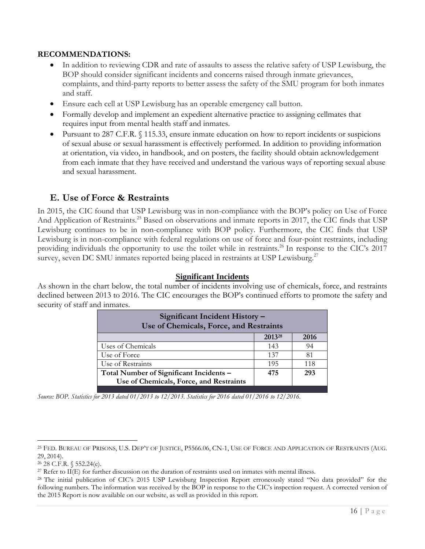### **RECOMMENDATIONS:**

- In addition to reviewing CDR and rate of assaults to assess the relative safety of USP Lewisburg, the BOP should consider significant incidents and concerns raised through inmate grievances, complaints, and third-party reports to better assess the safety of the SMU program for both inmates and staff.
- Ensure each cell at USP Lewisburg has an operable emergency call button.
- Formally develop and implement an expedient alternative practice to assigning cellmates that requires input from mental health staff and inmates.
- Pursuant to 287 C.F.R. § 115.33, ensure inmate education on how to report incidents or suspicions of sexual abuse or sexual harassment is effectively performed. In addition to providing information at orientation, via video, in handbook, and on posters, the facility should obtain acknowledgement from each inmate that they have received and understand the various ways of reporting sexual abuse and sexual harassment.

### <span id="page-15-0"></span>**E. Use of Force & Restraints**

In 2015, the CIC found that USP Lewisburg was in non-compliance with the BOP's policy on Use of Force And Application of Restraints.<sup>25</sup> Based on observations and inmate reports in 2017, the CIC finds that USP Lewisburg continues to be in non-compliance with BOP policy. Furthermore, the CIC finds that USP Lewisburg is in non-compliance with federal regulations on use of force and four-point restraints, including providing individuals the opportunity to use the toilet while in restraints.<sup>26</sup> In response to the CIC's 2017 survey, seven DC SMU inmates reported being placed in restraints at USP Lewisburg.<sup>27</sup>

#### **Significant Incidents**

As shown in the chart below, the total number of incidents involving use of chemicals, force, and restraints declined between 2013 to 2016. The CIC encourages the BOP's continued efforts to promote the safety and security of staff and inmates.

| Significant Incident History -<br>Use of Chemicals, Force, and Restraints |      |  |  |  |  |  |
|---------------------------------------------------------------------------|------|--|--|--|--|--|
| 2013 <sup>28</sup>                                                        | 2016 |  |  |  |  |  |
| 143                                                                       | 94   |  |  |  |  |  |
| 137                                                                       | 81   |  |  |  |  |  |
| 195                                                                       | 118  |  |  |  |  |  |
| 475                                                                       | 293  |  |  |  |  |  |
|                                                                           |      |  |  |  |  |  |
|                                                                           |      |  |  |  |  |  |

*Source: BOP. Statistics for 2013 dated 01/2013 to 12/2013. Statistics for 2016 dated 01/2016 to 12/2016.*

<sup>&</sup>lt;sup>25</sup> FED. BUREAU OF PRISONS, U.S. DEP'T OF JUSTICE, P5566.06, CN-1, USE OF FORCE AND APPLICATION OF RESTRAINTS (AUG. 29, 2014).

<sup>26</sup> 28 C.F.R. § 552.24(e).

<sup>&</sup>lt;sup>27</sup> Refer to II(E) for further discussion on the duration of restraints used on inmates with mental illness.

<sup>&</sup>lt;sup>28</sup> The initial publication of CIC's 2015 USP Lewisburg Inspection Report erroneously stated "No data provided" for the following numbers. The information was received by the BOP in response to the CIC's inspection request. A corrected version of the 2015 Report is now available on our website, as well as provided in this report.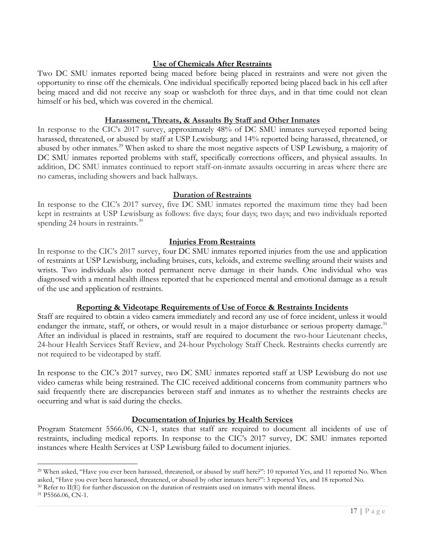### **Use of Chemicals After Restraints**

Two DC SMU inmates reported being maced before being placed in restraints and were not given the opportunity to rinse off the chemicals. One individual specifically reported being placed back in his cell after being maced and did not receive any soap or washcloth for three days, and in that time could not clean himself or his bed, which was covered in the chemical.

#### **Harassment, Threats, & Assaults By Staff and Other Inmates**

In response to the CIC's 2017 survey, approximately 48% of DC SMU inmates surveyed reported being harassed, threatened, or abused by staff at USP Lewisburg; and 14% reported being harassed, threatened, or abused by other inmates.<sup>29</sup> When asked to share the most negative aspects of USP Lewisburg, a majority of DC SMU inmates reported problems with staff, specifically corrections officers, and physical assaults. In addition, DC SMU inmates continued to report staff-on-inmate assaults occurring in areas where there are no cameras, including showers and back hallways.

### **Duration of Restraints**

In response to the CIC's 2017 survey, five DC SMU inmates reported the maximum time they had been kept in restraints at USP Lewisburg as follows: five days; four days; two days; and two individuals reported spending 24 hours in restraints.<sup>30</sup>

### **Injuries From Restraints**

In response to the CIC's 2017 survey, four DC SMU inmates reported injuries from the use and application of restraints at USP Lewisburg, including bruises, cuts, keloids, and extreme swelling around their waists and wrists. Two individuals also noted permanent nerve damage in their hands. One individual who was diagnosed with a mental health illness reported that he experienced mental and emotional damage as a result of the use and application of restraints.

### **Reporting & Videotape Requirements of Use of Force & Restraints Incidents**

Staff are required to obtain a video camera immediately and record any use of force incident, unless it would endanger the inmate, staff, or others, or would result in a major disturbance or serious property damage.<sup>31</sup> After an individual is placed in restraints, staff are required to document the two-hour Lieutenant checks, 24-hour Health Services Staff Review, and 24-hour Psychology Staff Check. Restraints checks currently are not required to be videotaped by staff.

In response to the CIC's 2017 survey, two DC SMU inmates reported staff at USP Lewisburg do not use video cameras while being restrained. The CIC received additional concerns from community partners who said frequently there are discrepancies between staff and inmates as to whether the restraints checks are occurring and what is said during the checks.

### **Documentation of Injuries by Health Services**

Program Statement 5566.06, CN-1, states that staff are required to document all incidents of use of restraints, including medical reports. In response to the CIC's 2017 survey, DC SMU inmates reported instances where Health Services at USP Lewisburg failed to document injuries.

<sup>29</sup> When asked, "Have you ever been harassed, threatened, or abused by staff here?": 10 reported Yes, and 11 reported No. When asked, "Have you ever been harassed, threatened, or abused by other inmates here?": 3 reported Yes, and 18 reported No.

<sup>30</sup> Refer to II(E) for further discussion on the duration of restraints used on inmates with mental illness.

<sup>31</sup> P5566.06, CN-1.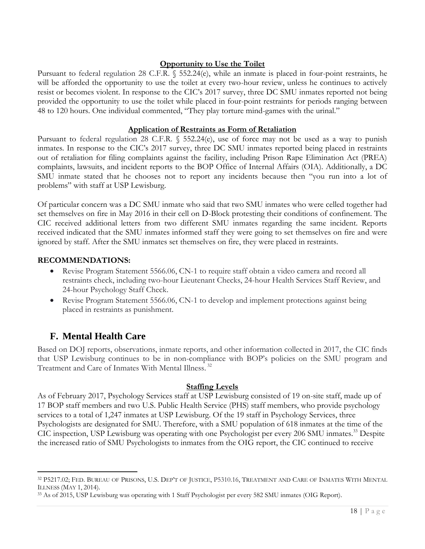### **Opportunity to Use the Toilet**

Pursuant to federal regulation 28 C.F.R. § 552.24(e), while an inmate is placed in four-point restraints, he will be afforded the opportunity to use the toilet at every two-hour review, unless he continues to actively resist or becomes violent. In response to the CIC's 2017 survey, three DC SMU inmates reported not being provided the opportunity to use the toilet while placed in four-point restraints for periods ranging between 48 to 120 hours. One individual commented, "They play torture mind-games with the urinal."

### **Application of Restraints as Form of Retaliation**

Pursuant to federal regulation 28 C.F.R. § 552.24(e), use of force may not be used as a way to punish inmates. In response to the CIC's 2017 survey, three DC SMU inmates reported being placed in restraints out of retaliation for filing complaints against the facility, including Prison Rape Elimination Act (PREA) complaints, lawsuits, and incident reports to the BOP Office of Internal Affairs (OIA). Additionally, a DC SMU inmate stated that he chooses not to report any incidents because then "you run into a lot of problems" with staff at USP Lewisburg.

Of particular concern was a DC SMU inmate who said that two SMU inmates who were celled together had set themselves on fire in May 2016 in their cell on D-Block protesting their conditions of confinement. The CIC received additional letters from two different SMU inmates regarding the same incident. Reports received indicated that the SMU inmates informed staff they were going to set themselves on fire and were ignored by staff. After the SMU inmates set themselves on fire, they were placed in restraints.

### **RECOMMENDATIONS:**

- Revise Program Statement 5566.06, CN-1 to require staff obtain a video camera and record all restraints check, including two-hour Lieutenant Checks, 24-hour Health Services Staff Review, and 24-hour Psychology Staff Check.
- Revise Program Statement 5566.06, CN-1 to develop and implement protections against being placed in restraints as punishment.

# <span id="page-17-0"></span>**F. Mental Health Care**

 $\overline{a}$ 

Based on DOJ reports, observations, inmate reports, and other information collected in 2017, the CIC finds that USP Lewisburg continues to be in non-compliance with BOP's policies on the SMU program and Treatment and Care of Inmates With Mental Illness. 32

### **Staffing Levels**

As of February 2017, Psychology Services staff at USP Lewisburg consisted of 19 on-site staff, made up of 17 BOP staff members and two U.S. Public Health Service (PHS) staff members, who provide psychology services to a total of 1,247 inmates at USP Lewisburg. Of the 19 staff in Psychology Services, three Psychologists are designated for SMU. Therefore, with a SMU population of 618 inmates at the time of the CIC inspection, USP Lewisburg was operating with one Psychologist per every 206 SMU inmates.<sup>33</sup> Despite the increased ratio of SMU Psychologists to inmates from the OIG report, the CIC continued to receive

<sup>32</sup> P5217.02; FED. BUREAU OF PRISONS, U.S. DEP'T OF JUSTICE, P5310.16, TREATMENT AND CARE OF INMATES WITH MENTAL ILLNESS (MAY 1, 2014).

<sup>33</sup> As of 2015, USP Lewisburg was operating with 1 Staff Psychologist per every 582 SMU inmates (OIG Report).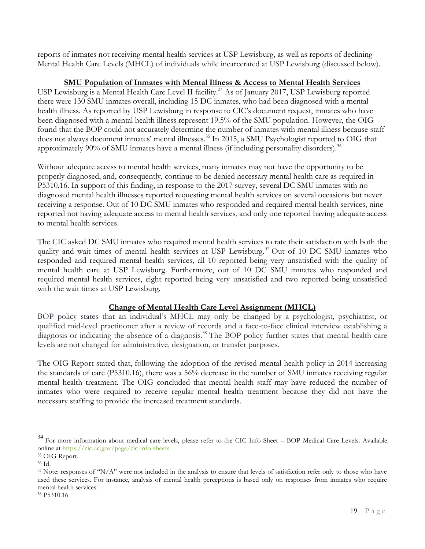reports of inmates not receiving mental health services at USP Lewisburg, as well as reports of declining Mental Health Care Levels (MHCL) of individuals while incarcerated at USP Lewisburg (discussed below).

### **SMU Population of Inmates with Mental Illness & Access to Mental Health Services**

USP Lewisburg is a Mental Health Care Level II facility.<sup>34</sup> As of January 2017, USP Lewisburg reported there were 130 SMU inmates overall, including 15 DC inmates, who had been diagnosed with a mental health illness. As reported by USP Lewisburg in response to CIC's document request, inmates who have been diagnosed with a mental health illness represent 19.5% of the SMU population. However, the OIG found that the BOP could not accurately determine the number of inmates with mental illness because staff does not always document inmates' mental illnesses. <sup>35</sup> In 2015, a SMU Psychologist reported to OIG that approximately  $90\%$  of SMU inmates have a mental illness (if including personality disorders).<sup>36</sup>

Without adequate access to mental health services, many inmates may not have the opportunity to be properly diagnosed, and, consequently, continue to be denied necessary mental health care as required in P5310.16. In support of this finding, in response to the 2017 survey, several DC SMU inmates with no diagnosed mental health illnesses reported requesting mental health services on several occasions but never receiving a response. Out of 10 DC SMU inmates who responded and required mental health services, nine reported not having adequate access to mental health services, and only one reported having adequate access to mental health services.

The CIC asked DC SMU inmates who required mental health services to rate their satisfaction with both the quality and wait times of mental health services at USP Lewisburg.<sup>37</sup> Out of 10 DC SMU inmates who responded and required mental health services, all 10 reported being very unsatisfied with the quality of mental health care at USP Lewisburg. Furthermore, out of 10 DC SMU inmates who responded and required mental health services, eight reported being very unsatisfied and two reported being unsatisfied with the wait times at USP Lewisburg.

### **Change of Mental Health Care Level Assignment (MHCL)**

BOP policy states that an individual's MHCL may only be changed by a psychologist, psychiatrist, or qualified mid-level practitioner after a review of records and a face-to-face clinical interview establishing a diagnosis or indicating the absence of a diagnosis. <sup>38</sup> The BOP policy further states that mental health care levels are not changed for administrative, designation, or transfer purposes.

The OIG Report stated that, following the adoption of the revised mental health policy in 2014 increasing the standards of care (P5310.16), there was a 56% decrease in the number of SMU inmates receiving regular mental health treatment. The OIG concluded that mental health staff may have reduced the number of inmates who were required to receive regular mental health treatment because they did not have the necessary staffing to provide the increased treatment standards.

<sup>34</sup> For more information about medical care levels, please refer to the CIC Info Sheet – BOP Medical Care Levels. Available online at <https://cic.dc.gov/page/cic-info-sheets>

<sup>35</sup> OIG Report.

<sup>36</sup> Id.

 $37$  Note: responses of "N/A" were not included in the analysis to ensure that levels of satisfaction refer only to those who have used these services. For instance, analysis of mental health perceptions is based only on responses from inmates who require mental health services.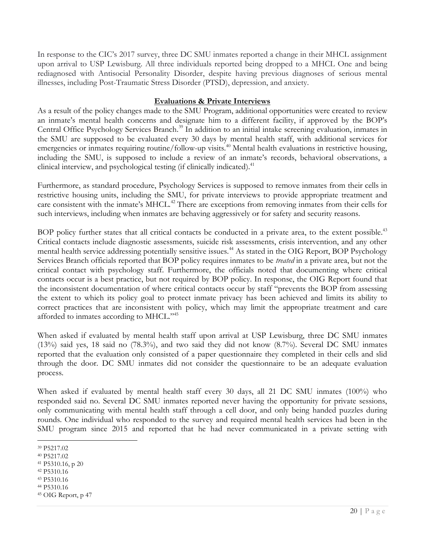In response to the CIC's 2017 survey, three DC SMU inmates reported a change in their MHCL assignment upon arrival to USP Lewisburg. All three individuals reported being dropped to a MHCL One and being rediagnosed with Antisocial Personality Disorder, despite having previous diagnoses of serious mental illnesses, including Post-Traumatic Stress Disorder (PTSD), depression, and anxiety.

### **Evaluations & Private Interviews**

As a result of the policy changes made to the SMU Program, additional opportunities were created to review an inmate's mental health concerns and designate him to a different facility, if approved by the BOP's Central Office Psychology Services Branch.<sup>39</sup> In addition to an initial intake screening evaluation, inmates in the SMU are supposed to be evaluated every 30 days by mental health staff, with additional services for emergencies or inmates requiring routine/follow-up visits.<sup>40</sup> Mental health evaluations in restrictive housing, including the SMU, is supposed to include a review of an inmate's records, behavioral observations, a clinical interview, and psychological testing (if clinically indicated).<sup>41</sup>

Furthermore, as standard procedure, Psychology Services is supposed to remove inmates from their cells in restrictive housing units, including the SMU, for private interviews to provide appropriate treatment and care consistent with the inmate's MHCL.<sup>42</sup> There are exceptions from removing inmates from their cells for such interviews, including when inmates are behaving aggressively or for safety and security reasons.

BOP policy further states that all critical contacts be conducted in a private area, to the extent possible.<sup>43</sup> Critical contacts include diagnostic assessments, suicide risk assessments, crisis intervention, and any other mental health service addressing potentially sensitive issues.<sup>44</sup> As stated in the OIG Report, BOP Psychology Services Branch officials reported that BOP policy requires inmates to be *treated* in a private area, but not the critical contact with psychology staff. Furthermore, the officials noted that documenting where critical contacts occur is a best practice, but not required by BOP policy. In response, the OIG Report found that the inconsistent documentation of where critical contacts occur by staff "prevents the BOP from assessing the extent to which its policy goal to protect inmate privacy has been achieved and limits its ability to correct practices that are inconsistent with policy, which may limit the appropriate treatment and care afforded to inmates according to MHCL."<sup>45</sup>

When asked if evaluated by mental health staff upon arrival at USP Lewisburg, three DC SMU inmates (13%) said yes, 18 said no (78.3%), and two said they did not know (8.7%). Several DC SMU inmates reported that the evaluation only consisted of a paper questionnaire they completed in their cells and slid through the door. DC SMU inmates did not consider the questionnaire to be an adequate evaluation process.

When asked if evaluated by mental health staff every 30 days, all 21 DC SMU inmates (100%) who responded said no. Several DC SMU inmates reported never having the opportunity for private sessions, only communicating with mental health staff through a cell door, and only being handed puzzles during rounds. One individual who responded to the survey and required mental health services had been in the SMU program since 2015 and reported that he had never communicated in a private setting with

<sup>42</sup> P5310.16

<sup>44</sup> P5310.16

 $\overline{a}$ <sup>39</sup> P5217.02

<sup>40</sup> P5217.02

<sup>41</sup> P5310.16, p 20

<sup>43</sup> P5310.16

<sup>45</sup> OIG Report, p 47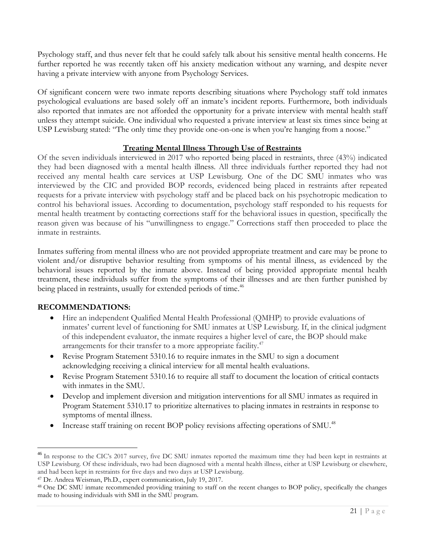Psychology staff, and thus never felt that he could safely talk about his sensitive mental health concerns. He further reported he was recently taken off his anxiety medication without any warning, and despite never having a private interview with anyone from Psychology Services.

Of significant concern were two inmate reports describing situations where Psychology staff told inmates psychological evaluations are based solely off an inmate's incident reports. Furthermore, both individuals also reported that inmates are not afforded the opportunity for a private interview with mental health staff unless they attempt suicide. One individual who requested a private interview at least six times since being at USP Lewisburg stated: "The only time they provide one-on-one is when you're hanging from a noose."

### **Treating Mental Illness Through Use of Restraints**

Of the seven individuals interviewed in 2017 who reported being placed in restraints, three (43%) indicated they had been diagnosed with a mental health illness. All three individuals further reported they had not received any mental health care services at USP Lewisburg. One of the DC SMU inmates who was interviewed by the CIC and provided BOP records, evidenced being placed in restraints after repeated requests for a private interview with psychology staff and be placed back on his psychotropic medication to control his behavioral issues. According to documentation, psychology staff responded to his requests for mental health treatment by contacting corrections staff for the behavioral issues in question, specifically the reason given was because of his "unwillingness to engage." Corrections staff then proceeded to place the inmate in restraints.

Inmates suffering from mental illness who are not provided appropriate treatment and care may be prone to violent and/or disruptive behavior resulting from symptoms of his mental illness, as evidenced by the behavioral issues reported by the inmate above. Instead of being provided appropriate mental health treatment, these individuals suffer from the symptoms of their illnesses and are then further punished by being placed in restraints, usually for extended periods of time.<sup>46</sup>

### **RECOMMENDATIONS:**

- Hire an independent Qualified Mental Health Professional (QMHP) to provide evaluations of inmates' current level of functioning for SMU inmates at USP Lewisburg. If, in the clinical judgment of this independent evaluator, the inmate requires a higher level of care, the BOP should make arrangements for their transfer to a more appropriate facility.<sup>47</sup>
- Revise Program Statement 5310.16 to require inmates in the SMU to sign a document acknowledging receiving a clinical interview for all mental health evaluations.
- Revise Program Statement 5310.16 to require all staff to document the location of critical contacts with inmates in the SMU.
- Develop and implement diversion and mitigation interventions for all SMU inmates as required in Program Statement 5310.17 to prioritize alternatives to placing inmates in restraints in response to symptoms of mental illness.
- Increase staff training on recent BOP policy revisions affecting operations of SMU.<sup>48</sup>

<sup>&</sup>lt;sup>46</sup> In response to the CIC's 2017 survey, five DC SMU inmates reported the maximum time they had been kept in restraints at USP Lewisburg. Of these individuals, two had been diagnosed with a mental health illness, either at USP Lewisburg or elsewhere, and had been kept in restraints for five days and two days at USP Lewisburg.

<sup>47</sup> Dr. Andrea Weisman, Ph.D., expert communication, July 19, 2017.

<sup>48</sup> One DC SMU inmate recommended providing training to staff on the recent changes to BOP policy, specifically the changes made to housing individuals with SMI in the SMU program.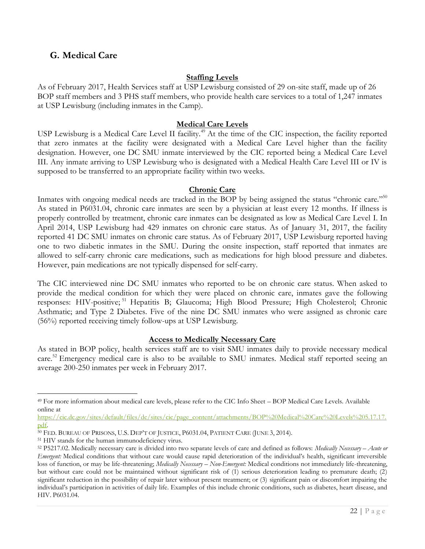# <span id="page-21-0"></span>**G. Medical Care**

#### **Staffing Levels**

As of February 2017, Health Services staff at USP Lewisburg consisted of 29 on-site staff, made up of 26 BOP staff members and 3 PHS staff members, who provide health care services to a total of 1,247 inmates at USP Lewisburg (including inmates in the Camp).

#### **Medical Care Levels**

USP Lewisburg is a Medical Care Level II facility.<sup>49</sup> At the time of the CIC inspection, the facility reported that zero inmates at the facility were designated with a Medical Care Level higher than the facility designation. However, one DC SMU inmate interviewed by the CIC reported being a Medical Care Level III. Any inmate arriving to USP Lewisburg who is designated with a Medical Health Care Level III or IV is supposed to be transferred to an appropriate facility within two weeks.

### **Chronic Care**

Inmates with ongoing medical needs are tracked in the BOP by being assigned the status "chronic care."<sup>50</sup> As stated in P6031.04, chronic care inmates are seen by a physician at least every 12 months. If illness is properly controlled by treatment, chronic care inmates can be designated as low as Medical Care Level I. In April 2014, USP Lewisburg had 429 inmates on chronic care status. As of January 31, 2017, the facility reported 41 DC SMU inmates on chronic care status. As of February 2017, USP Lewisburg reported having one to two diabetic inmates in the SMU. During the onsite inspection, staff reported that inmates are allowed to self-carry chronic care medications, such as medications for high blood pressure and diabetes. However, pain medications are not typically dispensed for self-carry.

The CIC interviewed nine DC SMU inmates who reported to be on chronic care status. When asked to provide the medical condition for which they were placed on chronic care, inmates gave the following responses: HIV-positive;<sup>51</sup> Hepatitis B; Glaucoma; High Blood Pressure; High Cholesterol; Chronic Asthmatic; and Type 2 Diabetes. Five of the nine DC SMU inmates who were assigned as chronic care (56%) reported receiving timely follow-ups at USP Lewisburg.

#### **Access to Medically Necessary Care**

As stated in BOP policy, health services staff are to visit SMU inmates daily to provide necessary medical care.<sup>52</sup> Emergency medical care is also to be available to SMU inmates. Medical staff reported seeing an average 200-250 inmates per week in February 2017.

<sup>49</sup> For more information about medical care levels, please refer to the CIC Info Sheet – BOP Medical Care Levels. Available online at

[https://cic.dc.gov/sites/default/files/dc/sites/cic/page\\_content/attachments/BOP%20Medical%20Care%20Levels%205.17.17.](https://cic.dc.gov/sites/default/files/dc/sites/cic/page_content/attachments/BOP%20Medical%20Care%20Levels%205.17.17.pdf) [pdf.](https://cic.dc.gov/sites/default/files/dc/sites/cic/page_content/attachments/BOP%20Medical%20Care%20Levels%205.17.17.pdf) 

<sup>50</sup> FED. BUREAU OF PRISONS, U.S. DEP'T OF JUSTICE, P6031.04, PATIENT CARE (JUNE 3, 2014).

<sup>51</sup> HIV stands for the human immunodeficiency virus.

<sup>52</sup> P5217.02. Medically necessary care is divided into two separate levels of care and defined as follows: *Medically Necessary – Acute or Emergent:* Medical conditions that without care would cause rapid deterioration of the individual's health, significant irreversible loss of function, or may be life-threatening; *Medically Necessary – Non-Emergent:* Medical conditions not immediately life-threatening, but without care could not be maintained without significant risk of (1) serious deterioration leading to premature death; (2) significant reduction in the possibility of repair later without present treatment; or (3) significant pain or discomfort impairing the individual's participation in activities of daily life. Examples of this include chronic conditions, such as diabetes, heart disease, and HIV. P6031.04.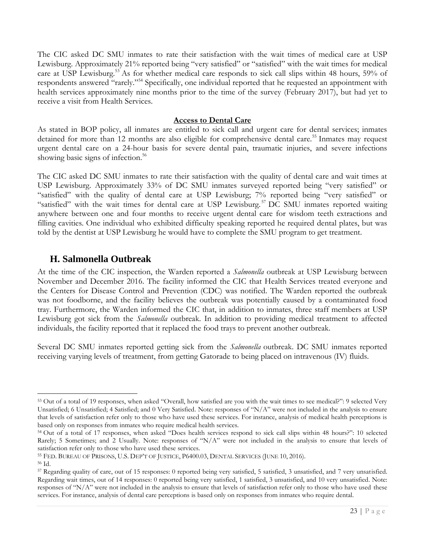The CIC asked DC SMU inmates to rate their satisfaction with the wait times of medical care at USP Lewisburg. Approximately 21% reported being "very satisfied" or "satisfied" with the wait times for medical care at USP Lewisburg.<sup>53</sup> As for whether medical care responds to sick call slips within 48 hours, 59% of respondents answered "rarely."<sup>54</sup> Specifically, one individual reported that he requested an appointment with health services approximately nine months prior to the time of the survey (February 2017), but had yet to receive a visit from Health Services.

### **Access to Dental Care**

As stated in BOP policy, all inmates are entitled to sick call and urgent care for dental services; inmates detained for more than 12 months are also eligible for comprehensive dental care.<sup>55</sup> Inmates may request urgent dental care on a 24-hour basis for severe dental pain, traumatic injuries, and severe infections showing basic signs of infection.<sup>56</sup>

The CIC asked DC SMU inmates to rate their satisfaction with the quality of dental care and wait times at USP Lewisburg. Approximately 33% of DC SMU inmates surveyed reported being "very satisfied" or "satisfied" with the quality of dental care at USP Lewisburg; 7% reported being "very satisfied" or "satisfied" with the wait times for dental care at USP Lewisburg.<sup>57</sup> DC SMU inmates reported waiting anywhere between one and four months to receive urgent dental care for wisdom teeth extractions and filling cavities. One individual who exhibited difficulty speaking reported he required dental plates, but was told by the dentist at USP Lewisburg he would have to complete the SMU program to get treatment.

### <span id="page-22-0"></span>**H. Salmonella Outbreak**

At the time of the CIC inspection, the Warden reported a *Salmonella* outbreak at USP Lewisburg between November and December 2016. The facility informed the CIC that Health Services treated everyone and the Centers for Disease Control and Prevention (CDC) was notified. The Warden reported the outbreak was not foodborne, and the facility believes the outbreak was potentially caused by a contaminated food tray. Furthermore, the Warden informed the CIC that, in addition to inmates, three staff members at USP Lewisburg got sick from the *Salmonella* outbreak. In addition to providing medical treatment to affected individuals, the facility reported that it replaced the food trays to prevent another outbreak.

Several DC SMU inmates reported getting sick from the *Salmonella* outbreak. DC SMU inmates reported receiving varying levels of treatment, from getting Gatorade to being placed on intravenous (IV) fluids.

<sup>53</sup> Out of a total of 19 responses, when asked "Overall, how satisfied are you with the wait times to see medical?": 9 selected Very Unsatisfied; 6 Unsatisfied; 4 Satisfied; and 0 Very Satisfied. Note: responses of "N/A" were not included in the analysis to ensure that levels of satisfaction refer only to those who have used these services. For instance, analysis of medical health perceptions is based only on responses from inmates who require medical health services.

<sup>54</sup> Out of a total of 17 responses, when asked "Does health services respond to sick call slips within 48 hours?": 10 selected Rarely; 5 Sometimes; and 2 Usually. Note: responses of "N/A" were not included in the analysis to ensure that levels of satisfaction refer only to those who have used these services.

<sup>55</sup> FED. BUREAU OF PRISONS, U.S. DEP'T OF JUSTICE, P6400.03, DENTAL SERVICES (JUNE 10, 2016).

<sup>56</sup> Id.

<sup>57</sup> Regarding quality of care, out of 15 responses: 0 reported being very satisfied, 5 satisfied, 3 unsatisfied, and 7 very unsatisfied. Regarding wait times, out of 14 responses: 0 reported being very satisfied, 1 satisfied, 3 unsatisfied, and 10 very unsatisfied. Note: responses of "N/A" were not included in the analysis to ensure that levels of satisfaction refer only to those who have used these services. For instance, analysis of dental care perceptions is based only on responses from inmates who require dental.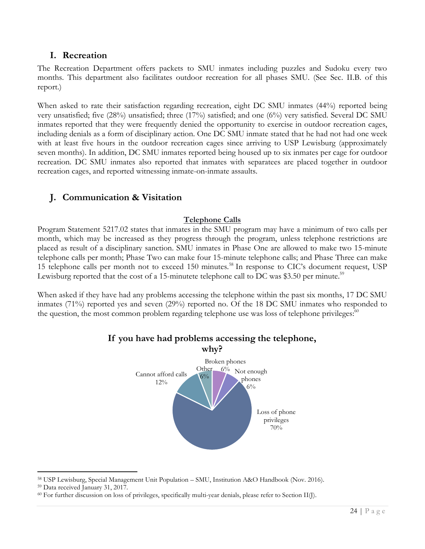### <span id="page-23-0"></span>**I. Recreation**

The Recreation Department offers packets to SMU inmates including puzzles and Sudoku every two months. This department also facilitates outdoor recreation for all phases SMU. (See Sec. II.B. of this report.)

When asked to rate their satisfaction regarding recreation, eight DC SMU inmates (44%) reported being very unsatisfied; five (28%) unsatisfied; three (17%) satisfied; and one (6%) very satisfied. Several DC SMU inmates reported that they were frequently denied the opportunity to exercise in outdoor recreation cages, including denials as a form of disciplinary action. One DC SMU inmate stated that he had not had one week with at least five hours in the outdoor recreation cages since arriving to USP Lewisburg (approximately seven months). In addition, DC SMU inmates reported being housed up to six inmates per cage for outdoor recreation. DC SMU inmates also reported that inmates with separatees are placed together in outdoor recreation cages, and reported witnessing inmate-on-inmate assaults.

# <span id="page-23-1"></span>**J. Communication & Visitation**

### **Telephone Calls**

Program Statement 5217.02 states that inmates in the SMU program may have a minimum of two calls per month, which may be increased as they progress through the program, unless telephone restrictions are placed as result of a disciplinary sanction. SMU inmates in Phase One are allowed to make two 15-minute telephone calls per month; Phase Two can make four 15-minute telephone calls; and Phase Three can make 15 telephone calls per month not to exceed 150 minutes.<sup>58</sup> In response to CIC's document request, USP Lewisburg reported that the cost of a 15-minutete telephone call to DC was \$3.50 per minute.<sup>59</sup>

When asked if they have had any problems accessing the telephone within the past six months, 17 DC SMU inmates  $(71%)$  reported yes and seven  $(29%)$  reported no. Of the 18 DC SMU inmates who responded to the question, the most common problem regarding telephone use was loss of telephone privileges:<sup>60</sup>



# **If you have had problems accessing the telephone,**

 $\overline{a}$ <sup>58</sup> USP Lewisburg, Special Management Unit Population – SMU, Institution A&O Handbook (Nov. 2016).

<sup>59</sup> Data received January 31, 2017.

 $60$  For further discussion on loss of privileges, specifically multi-year denials, please refer to Section II(J).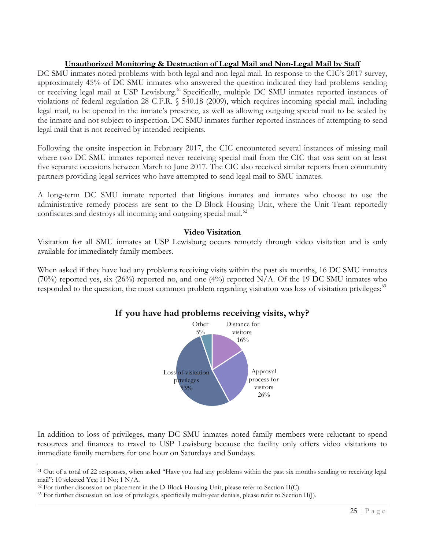### **Unauthorized Monitoring & Destruction of Legal Mail and Non-Legal Mail by Staff**

DC SMU inmates noted problems with both legal and non-legal mail. In response to the CIC's 2017 survey, approximately 45% of DC SMU inmates who answered the question indicated they had problems sending or receiving legal mail at USP Lewisburg.<sup>61</sup> Specifically, multiple DC SMU inmates reported instances of violations of federal regulation 28 C.F.R. § 540.18 (2009), which requires incoming special mail, including legal mail, to be opened in the inmate's presence, as well as allowing outgoing special mail to be sealed by the inmate and not subject to inspection. DC SMU inmates further reported instances of attempting to send legal mail that is not received by intended recipients.

Following the onsite inspection in February 2017, the CIC encountered several instances of missing mail where two DC SMU inmates reported never receiving special mail from the CIC that was sent on at least five separate occasions between March to June 2017. The CIC also received similar reports from community partners providing legal services who have attempted to send legal mail to SMU inmates.

A long-term DC SMU inmate reported that litigious inmates and inmates who choose to use the administrative remedy process are sent to the D-Block Housing Unit, where the Unit Team reportedly confiscates and destroys all incoming and outgoing special mail.<sup>62</sup>

### **Video Visitation**

Visitation for all SMU inmates at USP Lewisburg occurs remotely through video visitation and is only available for immediately family members.

When asked if they have had any problems receiving visits within the past six months, 16 DC SMU inmates  $(70\%)$  reported yes, six (26%) reported no, and one (4%) reported N/A. Of the 19 DC SMU inmates who responded to the question, the most common problem regarding visitation was loss of visitation privileges:<sup>63</sup>

### **If you have had problems receiving visits, why?**



In addition to loss of privileges, many DC SMU inmates noted family members were reluctant to spend resources and finances to travel to USP Lewisburg because the facility only offers video visitations to immediate family members for one hour on Saturdays and Sundays.

<sup>&</sup>lt;sup>61</sup> Out of a total of 22 responses, when asked "Have you had any problems within the past six months sending or receiving legal mail": 10 selected Yes; 11 No; 1 N/A.

 $62$  For further discussion on placement in the D-Block Housing Unit, please refer to Section II(C).

<sup>63</sup> For further discussion on loss of privileges, specifically multi-year denials, please refer to Section II(J).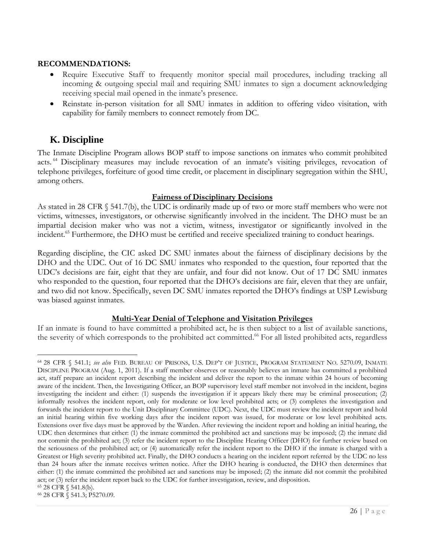### **RECOMMENDATIONS:**

- Require Executive Staff to frequently monitor special mail procedures, including tracking all incoming & outgoing special mail and requiring SMU inmates to sign a document acknowledging receiving special mail opened in the inmate's presence.
- Reinstate in-person visitation for all SMU inmates in addition to offering video visitation, with capability for family members to connect remotely from DC.

# <span id="page-25-0"></span>**K. Discipline**

The Inmate Discipline Program allows BOP staff to impose sanctions on inmates who commit prohibited acts. <sup>64</sup> Disciplinary measures may include revocation of an inmate's visiting privileges, revocation of telephone privileges, forfeiture of good time credit, or placement in disciplinary segregation within the SHU, among others.

### **Fairness of Disciplinary Decisions**

As stated in 28 CFR § 541.7(b), the UDC is ordinarily made up of two or more staff members who were not victims, witnesses, investigators, or otherwise significantly involved in the incident. The DHO must be an impartial decision maker who was not a victim, witness, investigator or significantly involved in the incident.<sup>65</sup> Furthermore, the DHO must be certified and receive specialized training to conduct hearings.

Regarding discipline, the CIC asked DC SMU inmates about the fairness of disciplinary decisions by the DHO and the UDC. Out of 16 DC SMU inmates who responded to the question, four reported that the UDC's decisions are fair, eight that they are unfair, and four did not know. Out of 17 DC SMU inmates who responded to the question, four reported that the DHO's decisions are fair, eleven that they are unfair, and two did not know. Specifically, seven DC SMU inmates reported the DHO's findings at USP Lewisburg was biased against inmates.

### **Multi-Year Denial of Telephone and Visitation Privileges**

If an inmate is found to have committed a prohibited act, he is then subject to a list of available sanctions, the severity of which corresponds to the prohibited act committed.<sup>66</sup> For all listed prohibited acts, regardless

<sup>64</sup> 28 CFR § 541.1; *see also* FED. BUREAU OF PRISONS, U.S. DEP'T OF JUSTICE, PROGRAM STATEMENT NO. 5270.09, INMATE DISCIPLINE PROGRAM (Aug. 1, 2011). If a staff member observes or reasonably believes an inmate has committed a prohibited act, staff prepare an incident report describing the incident and deliver the report to the inmate within 24 hours of becoming aware of the incident. Then, the Investigating Officer, an BOP supervisory level staff member not involved in the incident, begins investigating the incident and either: (1) suspends the investigation if it appears likely there may be criminal prosecution; (2) informally resolves the incident report, only for moderate or low level prohibited acts; or (3) completes the investigation and forwards the incident report to the Unit Disciplinary Committee (UDC). Next, the UDC must review the incident report and hold an initial hearing within five working days after the incident report was issued, for moderate or low level prohibited acts. Extensions over five days must be approved by the Warden. After reviewing the incident report and holding an initial hearing, the UDC then determines that either: (1) the inmate committed the prohibited act and sanctions may be imposed; (2) the inmate did not commit the prohibited act; (3) refer the incident report to the Discipline Hearing Officer (DHO) for further review based on the seriousness of the prohibited act; or (4) automatically refer the incident report to the DHO if the inmate is charged with a Greatest or High severity prohibited act. Finally, the DHO conducts a hearing on the incident report referred by the UDC no less than 24 hours after the inmate receives written notice. After the DHO hearing is conducted, the DHO then determines that either: (1) the inmate committed the prohibited act and sanctions may be imposed; (2) the inmate did not commit the prohibited act; or (3) refer the incident report back to the UDC for further investigation, review, and disposition.

<sup>65</sup> 28 CFR § 541.8(b).

<sup>66</sup> 28 CFR § 541.3; P5270.09.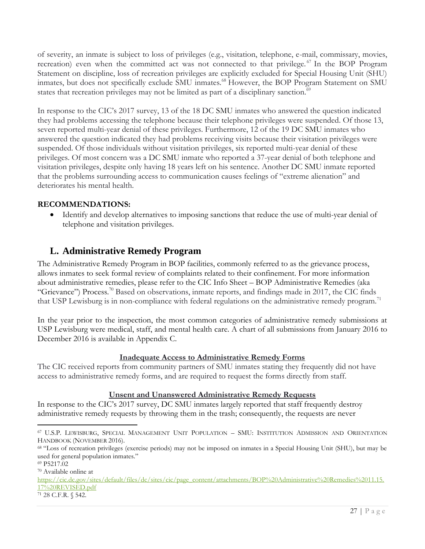of severity, an inmate is subject to loss of privileges (e.g., visitation, telephone, e-mail, commissary, movies, recreation) even when the committed act was not connected to that privilege.<sup>67</sup> In the BOP Program Statement on discipline, loss of recreation privileges are explicitly excluded for Special Housing Unit (SHU) inmates, but does not specifically exclude SMU inmates.<sup>68</sup> However, the BOP Program Statement on SMU states that recreation privileges may not be limited as part of a disciplinary sanction.<sup>69</sup>

In response to the CIC's 2017 survey, 13 of the 18 DC SMU inmates who answered the question indicated they had problems accessing the telephone because their telephone privileges were suspended. Of those 13, seven reported multi-year denial of these privileges. Furthermore, 12 of the 19 DC SMU inmates who answered the question indicated they had problems receiving visits because their visitation privileges were suspended. Of those individuals without visitation privileges, six reported multi-year denial of these privileges. Of most concern was a DC SMU inmate who reported a 37-year denial of both telephone and visitation privileges, despite only having 18 years left on his sentence. Another DC SMU inmate reported that the problems surrounding access to communication causes feelings of "extreme alienation" and deteriorates his mental health.

### **RECOMMENDATIONS:**

 Identify and develop alternatives to imposing sanctions that reduce the use of multi-year denial of telephone and visitation privileges.

# <span id="page-26-0"></span>**L. Administrative Remedy Program**

The Administrative Remedy Program in BOP facilities, commonly referred to as the grievance process, allows inmates to seek formal review of complaints related to their confinement. For more information about administrative remedies, please refer to the CIC Info Sheet – BOP Administrative Remedies (aka "Grievance") Process.<sup>70</sup> Based on observations, inmate reports, and findings made in 2017, the CIC finds that USP Lewisburg is in non-compliance with federal regulations on the administrative remedy program.<sup>71</sup>

In the year prior to the inspection, the most common categories of administrative remedy submissions at USP Lewisburg were medical, staff, and mental health care. A chart of all submissions from January 2016 to December 2016 is available in Appendix C.

### **Inadequate Access to Administrative Remedy Forms**

The CIC received reports from community partners of SMU inmates stating they frequently did not have access to administrative remedy forms, and are required to request the forms directly from staff.

### **Unsent and Unanswered Administrative Remedy Requests**

In response to the CIC's 2017 survey, DC SMU inmates largely reported that staff frequently destroy administrative remedy requests by throwing them in the trash; consequently, the requests are never

<sup>67</sup> U.S.P. LEWISBURG, SPECIAL MANAGEMENT UNIT POPULATION – SMU: INSTITUTION ADMISSION AND ORIENTATION HANDBOOK (NOVEMBER 2016).

<sup>68</sup> "Loss of recreation privileges (exercise periods) may not be imposed on inmates in a Special Housing Unit (SHU), but may be used for general population inmates."

<sup>69</sup> P5217.02

<sup>70</sup> Available online at

[https://cic.dc.gov/sites/default/files/dc/sites/cic/page\\_content/attachments/BOP%20Administrative%20Remedies%2011.15.](https://cic.dc.gov/sites/default/files/dc/sites/cic/page_content/attachments/BOP%20Administrative%20Remedies%2011.15.17%20REVISED.pdf) [17%20REVISED.pdf](https://cic.dc.gov/sites/default/files/dc/sites/cic/page_content/attachments/BOP%20Administrative%20Remedies%2011.15.17%20REVISED.pdf)

<sup>71</sup> 28 C.F.R. § 542.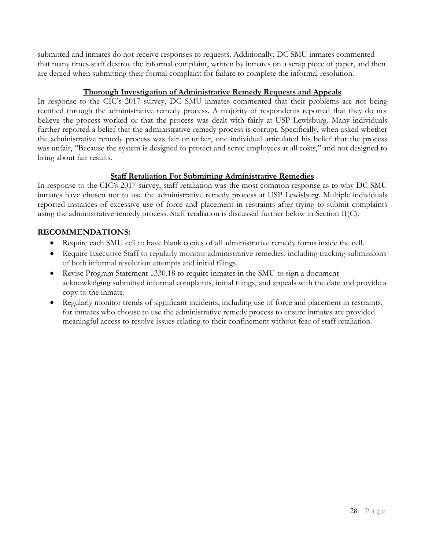submitted and inmates do not receive responses to requests. Additionally, DC SMU inmates commented that many times staff destroy the informal complaint, written by inmates on a scrap piece of paper, and then are denied when submitting their formal complaint for failure to complete the informal resolution.

### **Thorough Investigation of Administrative Remedy Requests and Appeals**

In response to the CIC's 2017 survey, DC SMU inmates commented that their problems are not being rectified through the administrative remedy process. A majority of respondents reported that they do not believe the process worked or that the process was dealt with fairly at USP Lewisburg. Many individuals further reported a belief that the administrative remedy process is corrupt. Specifically, when asked whether the administrative remedy process was fair or unfair, one individual articulated his belief that the process was unfair, "Because the system is designed to protect and serve employees at all costs," and not designed to bring about fair results.

### **Staff Retaliation For Submitting Administrative Remedies**

In response to the CIC's 2017 survey, staff retaliation was the most common response as to why DC SMU inmates have chosen not to use the administrative remedy process at USP Lewisburg. Multiple individuals reported instances of excessive use of force and placement in restraints after trying to submit complaints using the administrative remedy process. Staff retaliation is discussed further below in Section II(C).

### **RECOMMENDATIONS:**

- Require each SMU cell to have blank copies of all administrative remedy forms inside the cell.
- Require Executive Staff to regularly monitor administrative remedies, including tracking submissions of both informal resolution attempts and initial filings.
- Revise Program Statement 1330.18 to require inmates in the SMU to sign a document acknowledging submitted informal complaints, initial filings, and appeals with the date and provide a copy to the inmate.
- Regularly monitor trends of significant incidents, including use of force and placement in restraints, for inmates who choose to use the administrative remedy process to ensure inmates are provided meaningful access to resolve issues relating to their confinement without fear of staff retaliation.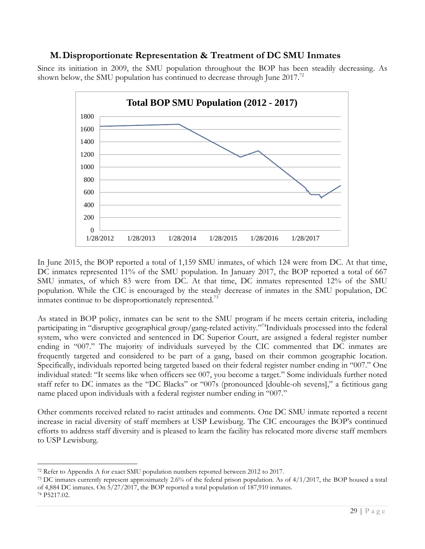### <span id="page-28-0"></span>**M.Disproportionate Representation & Treatment of DC SMU Inmates**

Since its initiation in 2009, the SMU population throughout the BOP has been steadily decreasing. As shown below, the SMU population has continued to decrease through June 2017.<sup>72</sup>



In June 2015, the BOP reported a total of 1,159 SMU inmates, of which 124 were from DC. At that time, DC inmates represented 11% of the SMU population. In January 2017, the BOP reported a total of 667 SMU inmates, of which 83 were from DC. At that time, DC inmates represented 12% of the SMU population. While the CIC is encouraged by the steady decrease of inmates in the SMU population, DC inmates continue to be disproportionately represented.<sup>73</sup>

As stated in BOP policy, inmates can be sent to the SMU program if he meets certain criteria, including participating in "disruptive geographical group/gang-related activity."<sup>74</sup>Individuals processed into the federal system, who were convicted and sentenced in DC Superior Court, are assigned a federal register number ending in "007." The majority of individuals surveyed by the CIC commented that DC inmates are frequently targeted and considered to be part of a gang, based on their common geographic location. Specifically, individuals reported being targeted based on their federal register number ending in "007." One individual stated: "It seems like when officers see 007, you become a target." Some individuals further noted staff refer to DC inmates as the "DC Blacks" or "007s (pronounced [double-oh sevens]," a fictitious gang name placed upon individuals with a federal register number ending in "007."

Other comments received related to racist attitudes and comments. One DC SMU inmate reported a recent increase in racial diversity of staff members at USP Lewisburg. The CIC encourages the BOP's continued efforts to address staff diversity and is pleased to learn the facility has relocated more diverse staff members to USP Lewisburg.

<sup>72</sup> Refer to Appendix A for exact SMU population numbers reported between 2012 to 2017.

<sup>73</sup> DC inmates currently represent approximately 2.6% of the federal prison population. As of 4/1/2017, the BOP housed a total of 4,884 DC inmates. On 5/27/2017, the BOP reported a total population of 187,910 inmates. <sup>74</sup> P5217.02.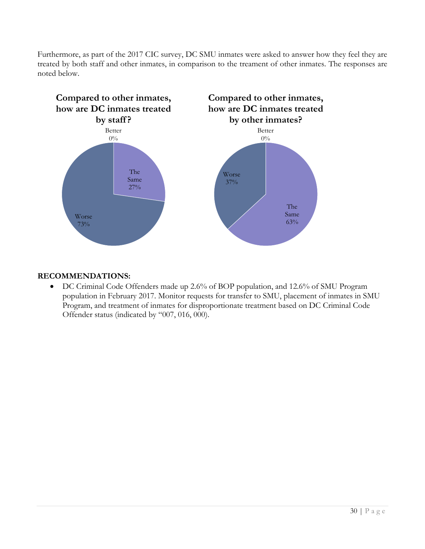Furthermore, as part of the 2017 CIC survey, DC SMU inmates were asked to answer how they feel they are treated by both staff and other inmates, in comparison to the treament of other inmates. The responses are noted below.



### **RECOMMENDATIONS:**

 DC Criminal Code Offenders made up 2.6% of BOP population, and 12.6% of SMU Program population in February 2017. Monitor requests for transfer to SMU, placement of inmates in SMU Program, and treatment of inmates for disproportionate treatment based on DC Criminal Code Offender status (indicated by "007, 016, 000).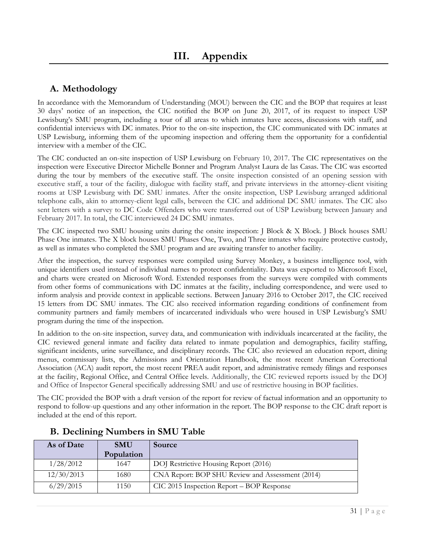# <span id="page-30-1"></span><span id="page-30-0"></span>**A. Methodology**

In accordance with the Memorandum of Understanding (MOU) between the CIC and the BOP that requires at least 30 days' notice of an inspection, the CIC notified the BOP on June 20, 2017, of its request to inspect USP Lewisburg's SMU program, including a tour of all areas to which inmates have access, discussions with staff, and confidential interviews with DC inmates. Prior to the on-site inspection, the CIC communicated with DC inmates at USP Lewisburg, informing them of the upcoming inspection and offering them the opportunity for a confidential interview with a member of the CIC.

The CIC conducted an on-site inspection of USP Lewisburg on February 10, 2017. The CIC representatives on the inspection were Executive Director Michelle Bonner and Program Analyst Laura de las Casas. The CIC was escorted during the tour by members of the executive staff. The onsite inspection consisted of an opening session with executive staff, a tour of the facility, dialogue with facility staff, and private interviews in the attorney-client visiting rooms at USP Lewisburg with DC SMU inmates. After the onsite inspection, USP Lewisburg arranged additional telephone calls, akin to attorney-client legal calls, between the CIC and additional DC SMU inmates. The CIC also sent letters with a survey to DC Code Offenders who were transferred out of USP Lewisburg between January and February 2017. In total, the CIC interviewed 24 DC SMU inmates.

The CIC inspected two SMU housing units during the onsite inspection: J Block & X Block. J Block houses SMU Phase One inmates. The X block houses SMU Phases One, Two, and Three inmates who require protective custody, as well as inmates who completed the SMU program and are awaiting transfer to another facility.

After the inspection, the survey responses were compiled using Survey Monkey, a business intelligence tool, with unique identifiers used instead of individual names to protect confidentiality. Data was exported to Microsoft Excel, and charts were created on Microsoft Word. Extended responses from the surveys were compiled with comments from other forms of communications with DC inmates at the facility, including correspondence, and were used to inform analysis and provide context in applicable sections. Between January 2016 to October 2017, the CIC received 15 letters from DC SMU inmates. The CIC also received information regarding conditions of confinement from community partners and family members of incarcerated individuals who were housed in USP Lewisburg's SMU program during the time of the inspection.

In addition to the on-site inspection, survey data, and communication with individuals incarcerated at the facility, the CIC reviewed general inmate and facility data related to inmate population and demographics, facility staffing, significant incidents, urine surveillance, and disciplinary records. The CIC also reviewed an education report, dining menus, commissary lists, the Admissions and Orientation Handbook, the most recent American Correctional Association (ACA) audit report, the most recent PREA audit report, and administrative remedy filings and responses at the facility, Regional Office, and Central Office levels. Additionally, the CIC reviewed reports issued by the DOJ and Office of Inspector General specifically addressing SMU and use of restrictive housing in BOP facilities.

The CIC provided the BOP with a draft version of the report for review of factual information and an opportunity to respond to follow-up questions and any other information in the report. The BOP response to the CIC draft report is included at the end of this report.

| As of Date | <b>SMU</b> | Source                                           |
|------------|------------|--------------------------------------------------|
|            | Population |                                                  |
| 1/28/2012  | 1647       | DOJ Restrictive Housing Report (2016)            |
| 12/30/2013 | 1680       | CNA Report: BOP SHU Review and Assessment (2014) |
| 6/29/2015  | 1150       | CIC 2015 Inspection Report – BOP Response        |

# <span id="page-30-2"></span>**B. Declining Numbers in SMU Table**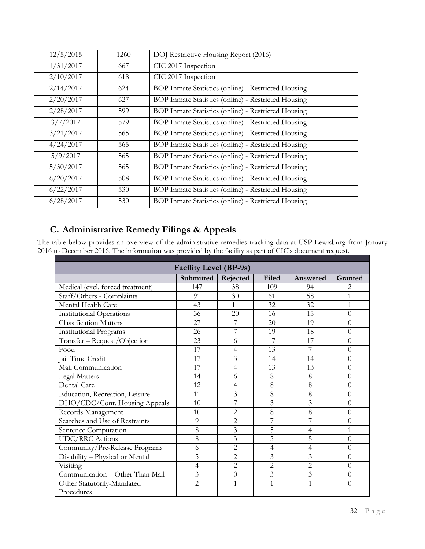| 12/5/2015 | 1260 | DOJ Restrictive Housing Report (2016)               |
|-----------|------|-----------------------------------------------------|
| 1/31/2017 | 667  | CIC 2017 Inspection                                 |
| 2/10/2017 | 618  | CIC 2017 Inspection                                 |
| 2/14/2017 | 624  | BOP Inmate Statistics (online) - Restricted Housing |
| 2/20/2017 | 627  | BOP Inmate Statistics (online) - Restricted Housing |
| 2/28/2017 | 599  | BOP Inmate Statistics (online) - Restricted Housing |
| 3/7/2017  | 579  | BOP Inmate Statistics (online) - Restricted Housing |
| 3/21/2017 | 565  | BOP Inmate Statistics (online) - Restricted Housing |
| 4/24/2017 | 565  | BOP Inmate Statistics (online) - Restricted Housing |
| 5/9/2017  | 565  | BOP Inmate Statistics (online) - Restricted Housing |
| 5/30/2017 | 565  | BOP Inmate Statistics (online) - Restricted Housing |
| 6/20/2017 | 508  | BOP Inmate Statistics (online) - Restricted Housing |
| 6/22/2017 | 530  | BOP Inmate Statistics (online) - Restricted Housing |
| 6/28/2017 | 530  | BOP Inmate Statistics (online) - Restricted Housing |

# <span id="page-31-0"></span>**C. Administrative Remedy Filings & Appeals**

The table below provides an overview of the administrative remedies tracking data at USP Lewisburg from January 2016 to December 2016. The information was provided by the facility as part of CIC's document request.

| <b>Facility Level (BP-9s)</b>    |                |                |                |                         |                |
|----------------------------------|----------------|----------------|----------------|-------------------------|----------------|
|                                  | Submitted      | Rejected       | Filed          | Answered                | Granted        |
| Medical (excl. forced treatment) | 147            | 38             | 109            | 94                      | 2.             |
| Staff/Others - Complaints        | 91             | 30             | 61             | 58                      | 1              |
| Mental Health Care               | 43             | 11             | 32             | 32                      | $\mathbf{1}$   |
| <b>Institutional Operations</b>  | 36             | 20             | 16             | 15                      | $\overline{0}$ |
| <b>Classification Matters</b>    | 27             | 7              | 20             | 19                      | $\overline{0}$ |
| <b>Institutional Programs</b>    | 26             | 7              | 19             | 18                      | $\overline{0}$ |
| Transfer - Request/Objection     | 23             | 6              | 17             | 17                      | $\theta$       |
| Food                             | 17             | 4              | 13             | 7                       | $\overline{0}$ |
| Jail Time Credit                 | 17             | 3              | 14             | 14                      | $\overline{0}$ |
| Mail Communication               | 17             | 4              | 13             | 13                      | $\theta$       |
| Legal Matters                    | 14             | 6              | 8              | 8                       | $\theta$       |
| Dental Care                      | 12             | 4              | 8              | 8                       | $\theta$       |
| Education, Recreation, Leisure   | 11             | 3              | 8              | 8                       | $\overline{0}$ |
| DHO/CDC/Cont. Housing Appeals    | 10             | 7              | $\overline{3}$ | $\overline{3}$          | $\overline{0}$ |
| Records Management               | 10             | $\overline{2}$ | 8              | 8                       | $\theta$       |
| Searches and Use of Restraints   | 9              | $\overline{2}$ | 7              | 7                       | $\overline{0}$ |
| Sentence Computation             | 8              | 3              | 5              | 4                       | $\mathbf 1$    |
| <b>UDC/RRC</b> Actions           | 8              | 3              | 5              | 5                       | $\overline{0}$ |
| Community/Pre-Release Programs   | 6              | $\overline{2}$ | 4              | 4                       | $\Omega$       |
| Disability - Physical or Mental  | 5              | 2              | 3              | 3                       | $\theta$       |
| Visiting                         | $\overline{4}$ | $\overline{2}$ | $\overline{2}$ | $\overline{2}$          | $\theta$       |
| Communication - Other Than Mail  | 3              | $\overline{0}$ | 3              | $\overline{\mathbf{3}}$ | $\overline{0}$ |
| Other Statutorily-Mandated       | $\overline{2}$ | $\mathbf{1}$   | $\mathbf{1}$   | $\mathbf{1}$            | $\theta$       |
| Procedures                       |                |                |                |                         |                |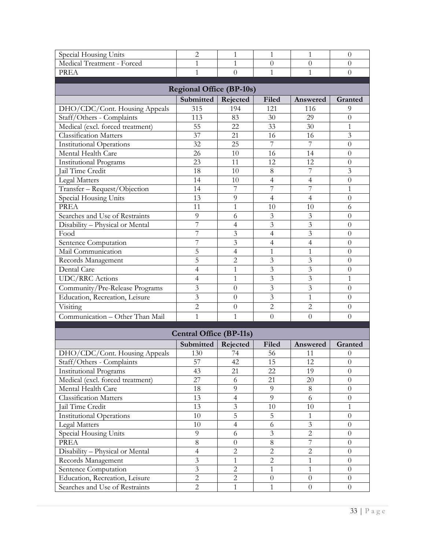| Special Housing Units            | $\overline{2}$                 | $\mathbf{1}$   | 1              | 1              | $\theta$            |  |  |
|----------------------------------|--------------------------------|----------------|----------------|----------------|---------------------|--|--|
| Medical Treatment - Forced       | 1                              | $\mathbf{1}$   | $\theta$       | $\overline{0}$ | $\theta$            |  |  |
| <b>PREA</b>                      | $\mathbf{1}$                   | $\theta$       | $\mathbf{1}$   | $\mathbf{1}$   | $\overline{0}$      |  |  |
| <b>Regional Office (BP-10s)</b>  |                                |                |                |                |                     |  |  |
|                                  | Submitted                      | Rejected       | Filed          | Answered       | Granted             |  |  |
| DHO/CDC/Cont. Housing Appeals    | 315                            | 194            | 121            | 116            | 9                   |  |  |
| Staff/Others - Complaints        | 113                            | 83             | 30             | 29             | $\theta$            |  |  |
| Medical (excl. forced treatment) | 55                             | 22             | 33             | 30             | 1                   |  |  |
| Classification Matters           | 37                             | 21             | 16             | 16             | $\overline{3}$      |  |  |
| <b>Institutional Operations</b>  | 32                             | 25             | 7              | 7              | $\theta$            |  |  |
| Mental Health Care               | 26                             | 10             | 16             | 14             | $\theta$            |  |  |
| <b>Institutional Programs</b>    | 23                             | 11             | 12             | 12             | $\overline{0}$      |  |  |
| Jail Time Credit                 | 18                             | 10             | 8              | 7              | $\overline{3}$      |  |  |
| <b>Legal Matters</b>             | 14                             | 10             | 4              | $\overline{4}$ | $\overline{0}$      |  |  |
| Transfer - Request/Objection     | 14                             | 7              | 7              | 7              | 1                   |  |  |
| Special Housing Units            | 13                             | 9              | $\overline{4}$ | $\overline{4}$ | $\overline{0}$      |  |  |
| <b>PREA</b>                      | 11                             | $\mathbf{1}$   | 10             | 10             | 6                   |  |  |
| Searches and Use of Restraints   | 9                              | 6              | $\mathfrak{Z}$ | 3              | $\theta$            |  |  |
| Disability - Physical or Mental  | $\overline{7}$                 | 4              | $\overline{3}$ | $\overline{3}$ | $\overline{0}$      |  |  |
| Food                             | 7                              | 3              | 4              | 3              | $\theta$            |  |  |
| Sentence Computation             | 7                              | 3              | 4              | 4              | $\theta$            |  |  |
| Mail Communication               | 5                              | $\overline{4}$ | $\mathbf{1}$   | $\mathbf{1}$   | $\overline{0}$      |  |  |
| Records Management               | 5                              | $\overline{2}$ | $\overline{3}$ | 3              | $\theta$            |  |  |
| Dental Care                      | 4                              | $\mathbf{1}$   | $\overline{3}$ | 3              | $\theta$            |  |  |
| <b>UDC/RRC</b> Actions           | 4                              | $\mathbf{1}$   | 3              | 3              | 1                   |  |  |
| Community/Pre-Release Programs   | 3                              | $\theta$       | 3              | 3              | $\theta$            |  |  |
| Education, Recreation, Leisure   | $\overline{3}$                 | $\theta$       | $\overline{3}$ | $\mathbf{1}$   | $\overline{0}$      |  |  |
| Visiting                         | $\overline{2}$                 | $\theta$       | $\overline{2}$ | $\overline{c}$ | $\theta$            |  |  |
| Communication - Other Than Mail  | $\mathbf{1}$                   | $\mathbf{1}$   | $\overline{0}$ | $\overline{0}$ | $\theta$            |  |  |
|                                  | <b>Central Office (BP-11s)</b> |                |                |                |                     |  |  |
|                                  | Submitted                      | Rejected       | Filed          | Answered       |                     |  |  |
| DHO/CDC/Cont. Housing Appeals    | 130                            | 74             | 56             | 11             | Granted<br>$\theta$ |  |  |
| Staff/Others - Complaints        | 57                             | 42             | 15             | 12             | $\theta$            |  |  |
| <b>Institutional Programs</b>    | 43                             | 21             | 22             | 19             | $\theta$            |  |  |
| Medical (excl. forced treatment) | 27                             | 6              | 21             | 20             | $\overline{0}$      |  |  |
| Mental Health Care               | $18\,$                         | 9              | 9              | 8              | $\overline{0}$      |  |  |
| <b>Classification Matters</b>    | 13                             | $\overline{4}$ | 9              | 6              | $\boldsymbol{0}$    |  |  |
| Jail Time Credit                 | 13                             | $\mathfrak{Z}$ | 10             | 10             | $\mathbf{1}$        |  |  |
| <b>Institutional Operations</b>  | 10                             | 5              | 5              | 1              | $\boldsymbol{0}$    |  |  |
| Legal Matters                    | 10                             | $\overline{4}$ | 6              | $\overline{3}$ | $\overline{0}$      |  |  |
| Special Housing Units            | 9                              | 6              | $\mathfrak{Z}$ | $\overline{2}$ | $\overline{0}$      |  |  |
| PREA                             | 8                              | $\theta$       | $\,8\,$        | 7              | $\overline{0}$      |  |  |
| Disability - Physical or Mental  | $\overline{4}$                 | $\overline{c}$ | $\overline{c}$ | $\overline{c}$ | $\boldsymbol{0}$    |  |  |
| Records Management               | $\mathfrak{Z}$                 | $\mathbf{1}$   | $\mathbf{2}$   | 1              | $\boldsymbol{0}$    |  |  |
| Sentence Computation             | $\overline{3}$                 | $\sqrt{2}$     | $\mathbf{1}$   | 1              | $\boldsymbol{0}$    |  |  |
| Education, Recreation, Leisure   | $\overline{2}$                 | $\overline{2}$ | $\theta$       | $\theta$       | $\boldsymbol{0}$    |  |  |
| Searches and Use of Restraints   | $\overline{2}$                 | $\mathbf{1}$   | $\mathbf{1}$   | $\overline{0}$ | $\overline{0}$      |  |  |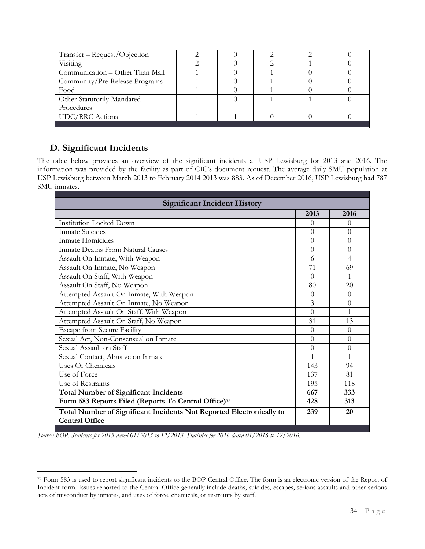| Transfer - Request/Objection    |  |  |  |
|---------------------------------|--|--|--|
| Visiting                        |  |  |  |
| Communication – Other Than Mail |  |  |  |
| Community/Pre-Release Programs  |  |  |  |
| Food                            |  |  |  |
| Other Statutorily-Mandated      |  |  |  |
| Procedures                      |  |  |  |
| <b>UDC/RRC</b> Actions          |  |  |  |
|                                 |  |  |  |

# <span id="page-33-0"></span>**D. Significant Incidents**

 $\overline{a}$ 

The table below provides an overview of the significant incidents at USP Lewisburg for 2013 and 2016. The information was provided by the facility as part of CIC's document request. The average daily SMU population at USP Lewisburg between March 2013 to February 2014 2013 was 883. As of December 2016, USP Lewisburg had 787 SMU inmates.

| <b>Significant Incident History</b>                                  |          |          |  |  |
|----------------------------------------------------------------------|----------|----------|--|--|
|                                                                      | 2013     | 2016     |  |  |
| <b>Institution Locked Down</b>                                       | $\Omega$ | 0        |  |  |
| <b>Inmate Suicides</b>                                               | $\Omega$ | $\Omega$ |  |  |
| Inmate Homicides                                                     | $\theta$ | $\theta$ |  |  |
| Inmate Deaths From Natural Causes                                    | $\theta$ | $\theta$ |  |  |
| Assault On Inmate, With Weapon                                       | 6        | 4        |  |  |
| Assault On Inmate, No Weapon                                         | 71       | 69       |  |  |
| Assault On Staff, With Weapon                                        | $\Omega$ | 1        |  |  |
| Assault On Staff, No Weapon                                          | 80       | 20       |  |  |
| Attempted Assault On Inmate, With Weapon                             | $\Omega$ | $\Omega$ |  |  |
| Attempted Assault On Inmate, No Weapon                               | 3        | $\theta$ |  |  |
| Attempted Assault On Staff, With Weapon                              | $\theta$ | 1        |  |  |
| Attempted Assault On Staff, No Weapon                                | 31       | 13       |  |  |
| <b>Escape from Secure Facility</b>                                   | $\Omega$ | $\Omega$ |  |  |
| Sexual Act, Non-Consensual on Inmate                                 | $\Omega$ | $\Omega$ |  |  |
| Sexual Assault on Staff                                              | $\theta$ | $\theta$ |  |  |
| Sexual Contact, Abusive on Inmate                                    | 1        | 1        |  |  |
| Uses Of Chemicals                                                    | 143      | 94       |  |  |
| Use of Force                                                         | 137      | 81       |  |  |
| Use of Restraints                                                    | 195      | 118      |  |  |
| <b>Total Number of Significant Incidents</b>                         | 667      | 333      |  |  |
| Form 583 Reports Filed (Reports To Central Office) <sup>75</sup>     | 428      | 313      |  |  |
| Total Number of Significant Incidents Not Reported Electronically to | 239      | 20       |  |  |
| <b>Central Office</b>                                                |          |          |  |  |
|                                                                      |          |          |  |  |

*Source: BOP. Statistics for 2013 dated 01/2013 to 12/2013. Statistics for 2016 dated 01/2016 to 12/2016.*

<sup>75</sup> Form 583 is used to report significant incidents to the BOP Central Office. The form is an electronic version of the Report of Incident form. Issues reported to the Central Office generally include deaths, suicides, escapes, serious assaults and other serious acts of misconduct by inmates, and uses of force, chemicals, or restraints by staff.